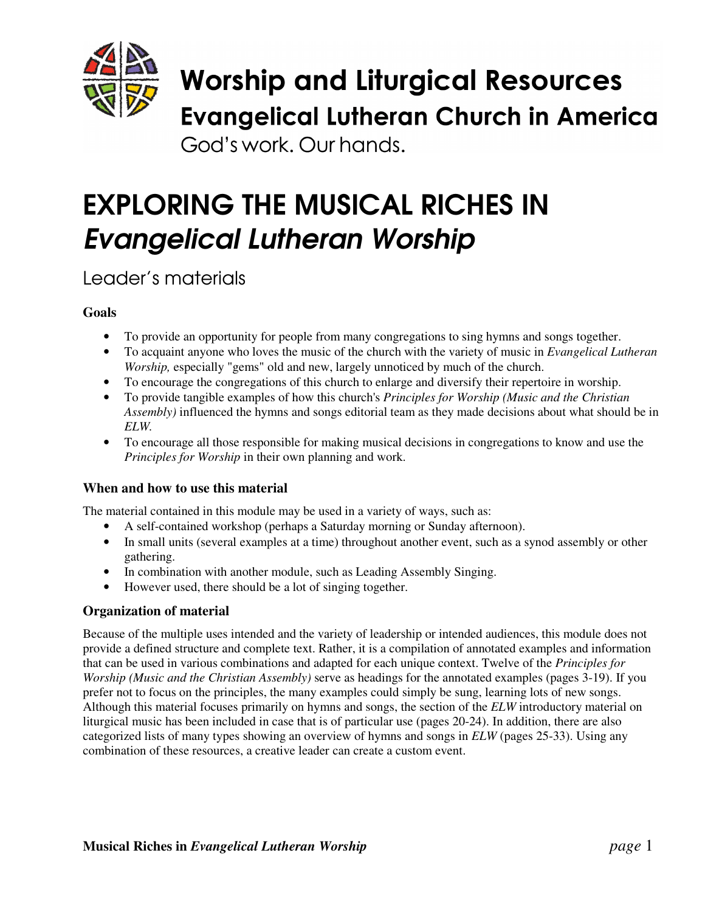

God's work. Our hands.

# EXPLORING THE MUSICAL RICHES IN *Evangelical Lutheran Worship*

Leader's materials

# **Goals**

- To provide an opportunity for people from many congregations to sing hymns and songs together.
- To acquaint anyone who loves the music of the church with the variety of music in *Evangelical Lutheran Worship,* especially "gems" old and new, largely unnoticed by much of the church.
- To encourage the congregations of this church to enlarge and diversify their repertoire in worship.
- To provide tangible examples of how this church's *Principles for Worship (Music and the Christian Assembly)* influenced the hymns and songs editorial team as they made decisions about what should be in *ELW.*
- To encourage all those responsible for making musical decisions in congregations to know and use the *Principles for Worship* in their own planning and work.

## **When and how to use this material**

The material contained in this module may be used in a variety of ways, such as:

- A self-contained workshop (perhaps a Saturday morning or Sunday afternoon).
- In small units (several examples at a time) throughout another event, such as a synod assembly or other gathering.
- In combination with another module, such as Leading Assembly Singing.
- However used, there should be a lot of singing together.

#### **Organization of material**

Because of the multiple uses intended and the variety of leadership or intended audiences, this module does not provide a defined structure and complete text. Rather, it is a compilation of annotated examples and information that can be used in various combinations and adapted for each unique context. Twelve of the *Principles for Worship (Music and the Christian Assembly)* serve as headings for the annotated examples (pages 3-19). If you prefer not to focus on the principles, the many examples could simply be sung, learning lots of new songs. Although this material focuses primarily on hymns and songs, the section of the *ELW* introductory material on liturgical music has been included in case that is of particular use (pages 20-24). In addition, there are also categorized lists of many types showing an overview of hymns and songs in *ELW* (pages 25-33). Using any combination of these resources, a creative leader can create a custom event.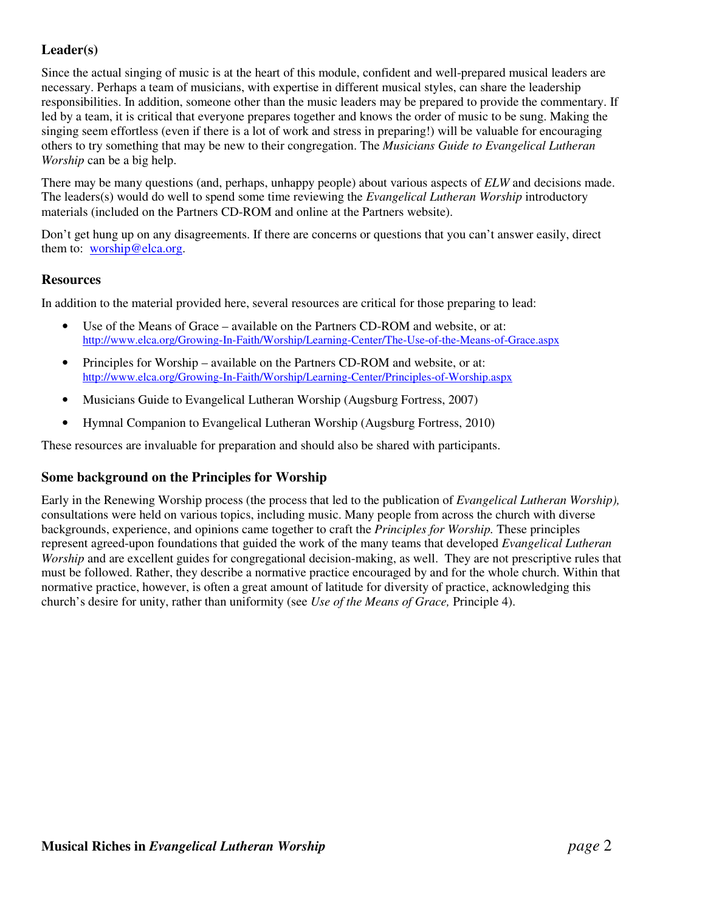# **Leader(s)**

Since the actual singing of music is at the heart of this module, confident and well-prepared musical leaders are necessary. Perhaps a team of musicians, with expertise in different musical styles, can share the leadership responsibilities. In addition, someone other than the music leaders may be prepared to provide the commentary. If led by a team, it is critical that everyone prepares together and knows the order of music to be sung. Making the singing seem effortless (even if there is a lot of work and stress in preparing!) will be valuable for encouraging others to try something that may be new to their congregation. The *Musicians Guide to Evangelical Lutheran Worship* can be a big help.

There may be many questions (and, perhaps, unhappy people) about various aspects of *ELW* and decisions made. The leaders(s) would do well to spend some time reviewing the *Evangelical Lutheran Worship* introductory materials (included on the Partners CD-ROM and online at the Partners website).

Don't get hung up on any disagreements. If there are concerns or questions that you can't answer easily, direct them to: worship@elca.org.

#### **Resources**

In addition to the material provided here, several resources are critical for those preparing to lead:

- Use of the Means of Grace available on the Partners CD-ROM and website, or at: http://www.elca.org/Growing-In-Faith/Worship/Learning-Center/The-Use-of-the-Means-of-Grace.aspx
- Principles for Worship available on the Partners CD-ROM and website, or at: http://www.elca.org/Growing-In-Faith/Worship/Learning-Center/Principles-of-Worship.aspx
- Musicians Guide to Evangelical Lutheran Worship (Augsburg Fortress, 2007)
- Hymnal Companion to Evangelical Lutheran Worship (Augsburg Fortress, 2010)

These resources are invaluable for preparation and should also be shared with participants.

#### **Some background on the Principles for Worship**

Early in the Renewing Worship process (the process that led to the publication of *Evangelical Lutheran Worship),* consultations were held on various topics, including music. Many people from across the church with diverse backgrounds, experience, and opinions came together to craft the *Principles for Worship.* These principles represent agreed-upon foundations that guided the work of the many teams that developed *Evangelical Lutheran Worship* and are excellent guides for congregational decision-making, as well. They are not prescriptive rules that must be followed. Rather, they describe a normative practice encouraged by and for the whole church. Within that normative practice, however, is often a great amount of latitude for diversity of practice, acknowledging this church's desire for unity, rather than uniformity (see *Use of the Means of Grace,* Principle 4).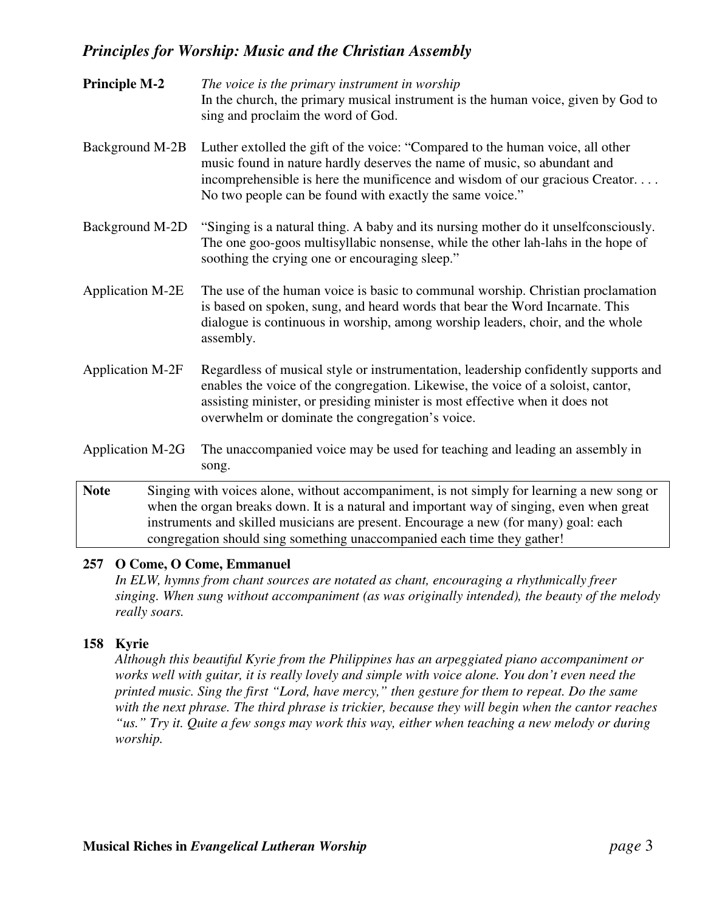| <b>Principle M-2</b>    | The voice is the primary instrument in worship<br>In the church, the primary musical instrument is the human voice, given by God to<br>sing and proclaim the word of God.                                                                                                                                  |
|-------------------------|------------------------------------------------------------------------------------------------------------------------------------------------------------------------------------------------------------------------------------------------------------------------------------------------------------|
| Background M-2B         | Luther extolled the gift of the voice: "Compared to the human voice, all other<br>music found in nature hardly deserves the name of music, so abundant and<br>incomprehensible is here the munificence and wisdom of our gracious Creator<br>No two people can be found with exactly the same voice."      |
| Background M-2D         | "Singing is a natural thing. A baby and its nursing mother do it unself consciously.<br>The one goo-goos multisyllabic nonsense, while the other lah-lahs in the hope of<br>soothing the crying one or encouraging sleep."                                                                                 |
| <b>Application M-2E</b> | The use of the human voice is basic to communal worship. Christian proclamation<br>is based on spoken, sung, and heard words that bear the Word Incarnate. This<br>dialogue is continuous in worship, among worship leaders, choir, and the whole<br>assembly.                                             |
| <b>Application M-2F</b> | Regardless of musical style or instrumentation, leadership confidently supports and<br>enables the voice of the congregation. Likewise, the voice of a soloist, cantor,<br>assisting minister, or presiding minister is most effective when it does not<br>overwhelm or dominate the congregation's voice. |
| <b>Application M-2G</b> | The unaccompanied voice may be used for teaching and leading an assembly in<br>song.                                                                                                                                                                                                                       |
| <b>Note</b>             | Singing with voices alone, without accompaniment, is not simply for learning a new song or<br>when the organ breaks down. It is a natural and important way of singing even when great                                                                                                                     |

# when the organ breaks down. It is a natural and important way of singing, even when great instruments and skilled musicians are present. Encourage a new (for many) goal: each congregation should sing something unaccompanied each time they gather!

#### **257 O Come, O Come, Emmanuel**

*In ELW, hymns from chant sources are notated as chant, encouraging a rhythmically freer singing. When sung without accompaniment (as was originally intended), the beauty of the melody really soars.*

#### **158 Kyrie**

*Although this beautiful Kyrie from the Philippines has an arpeggiated piano accompaniment or works well with guitar, it is really lovely and simple with voice alone. You don't even need the printed music. Sing the first "Lord, have mercy," then gesture for them to repeat. Do the same with the next phrase. The third phrase is trickier, because they will begin when the cantor reaches* "us." Try it. Quite a few songs may work this way, either when teaching a new melody or during *worship.*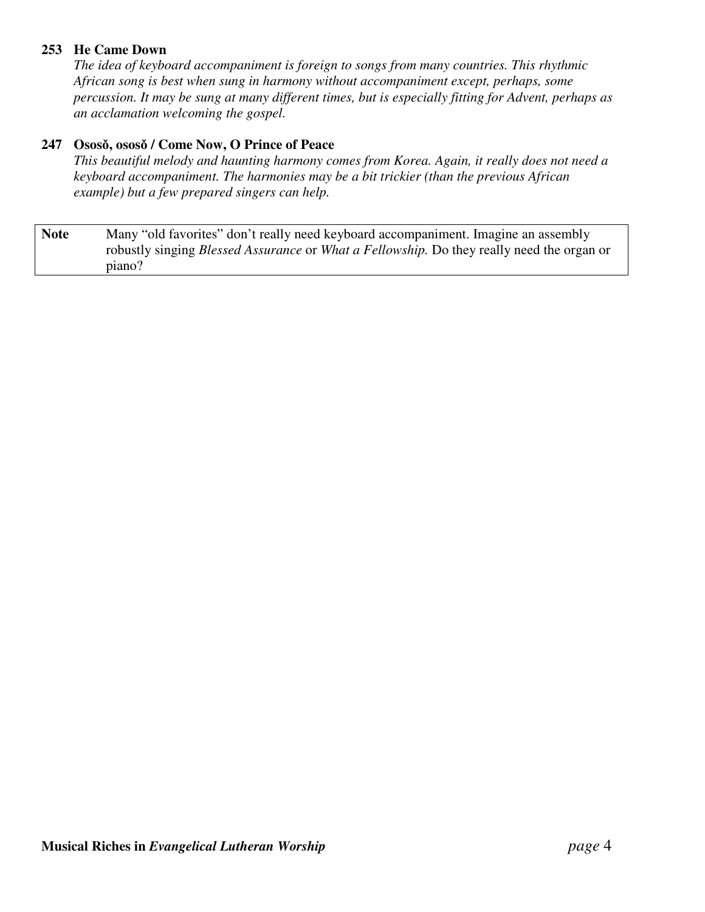### **253 He Came Down**

*The idea of keyboard accompaniment is foreign to songs from many countries. This rhythmic African song is best when sung in harmony without accompaniment except, perhaps, some percussion. It may be sung at many different times, but is especially fitting for Advent, perhaps as an acclamation welcoming the gospel.*

#### **247 Osos, osos / Come Now, O Prince of Peace**

*This beautiful melody and haunting harmony comes from Korea. Again, it really does not need a keyboard accompaniment. The harmonies may be a bit trickier (than the previous African example) but a few prepared singers can help.*

Note Many "old favorites" don't really need keyboard accompaniment. Imagine an assembly robustly singing *Blessed Assurance* or *What a Fellowship.* Do they really need the organ or piano?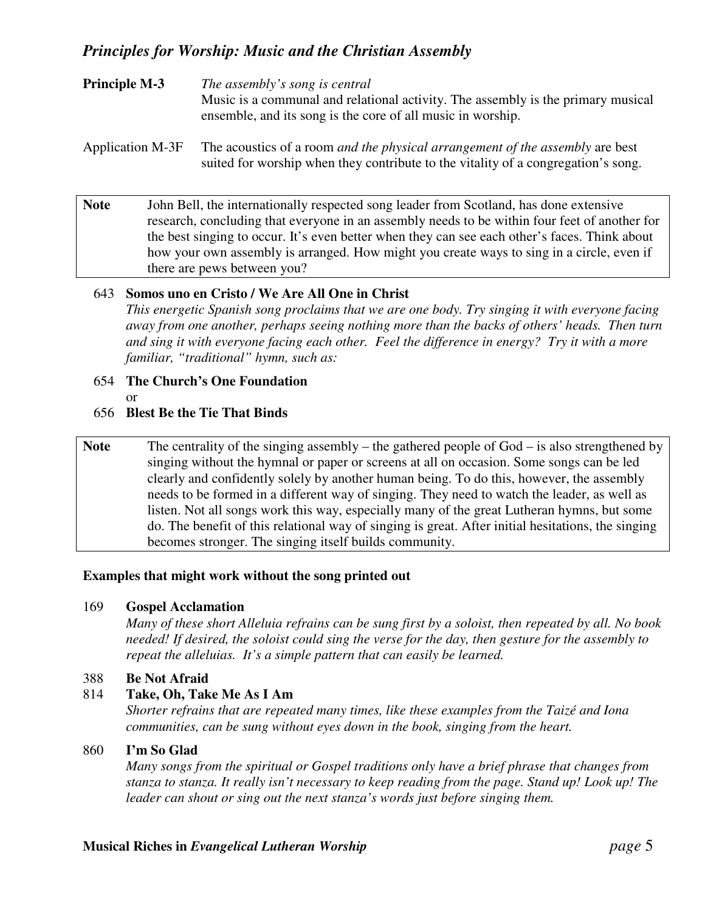| <b>Principle M-3</b> | The assembly's song is central                                                   |
|----------------------|----------------------------------------------------------------------------------|
|                      | Music is a communal and relational activity. The assembly is the primary musical |
|                      | ensemble, and its song is the core of all music in worship.                      |
|                      |                                                                                  |

### Application M-3F The acoustics of a room *and the physical arrangement of the assembly* are best suited for worship when they contribute to the vitality of a congregation's song.

Note John Bell, the internationally respected song leader from Scotland, has done extensive research, concluding that everyone in an assembly needs to be within four feet of another for the best singing to occur. It's even better when they can see each other's faces. Think about how your own assembly is arranged. How might you create ways to sing in a circle, even if there are pews between you?

#### 643 **Somos uno en Cristo / We Are All One in Christ**

*This energetic Spanish song proclaims that we are one body. Try singing it with everyone facing away from one another, perhaps seeing nothing more than the backs of others' heads. Then turn and sing it with everyone facing each other. Feel the difference in energy? Try it with a more familiar, "traditional" hymn, such as:*

#### 654 **The Church's One Foundation**

or

#### 656 **Blest Be the Tie That Binds**

Note The centrality of the singing assembly – the gathered people of God – is also strengthened by singing without the hymnal or paper or screens at all on occasion. Some songs can be led clearly and confidently solely by another human being. To do this, however, the assembly needs to be formed in a different way of singing. They need to watch the leader, as well as listen. Not all songs work this way, especially many of the great Lutheran hymns, but some do. The benefit of this relational way of singing is great. After initial hesitations, the singing becomes stronger. The singing itself builds community.

#### **Examples that might work without the song printed out**

#### 169 **Gospel Acclamation**

Many of these short Alleluia refrains can be sung first by a soloist, then repeated by all. No book *needed! If desired, the soloist could sing the verse for the day, then gesture for the assembly to repeat the alleluias. It's a simple pattern that can easily be learned.*

#### 388 **Be Not Afraid**

#### 814 **Take, Oh, Take Me As I Am**

*Shorter refrains that are repeated many times, like these examples from the Taizé and Iona communities, can be sung without eyes down in the book, singing from the heart.*

#### 860 **I'm So Glad**

*Many songs from the spiritual or Gospel traditions only have a brief phrase that changes from stanza to stanza. It really isn't necessary to keep reading from the page. Stand up! Look up! The leader can shout or sing out the next stanza's words just before singing them.*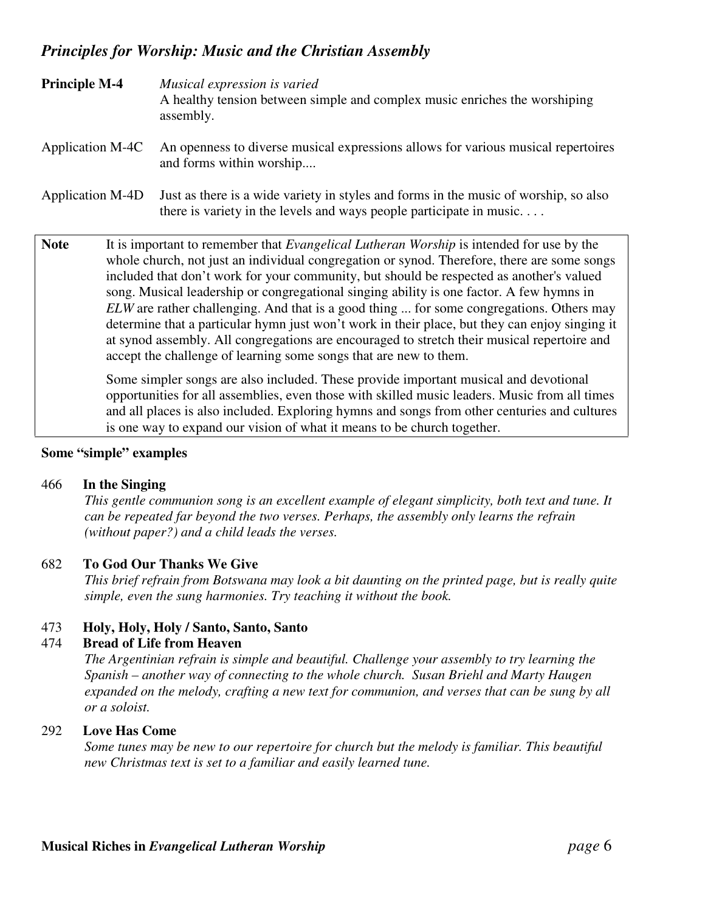| <b>Principle M-4</b> | Musical expression is varied<br>A healthy tension between simple and complex music enriches the worshiping<br>assembly.                                                                                                                                                                                                                                                                                                                                                                                                                                                                                                                                                                                                                                                                                                                                                                                                                                                                                                                                                                                                      |  |
|----------------------|------------------------------------------------------------------------------------------------------------------------------------------------------------------------------------------------------------------------------------------------------------------------------------------------------------------------------------------------------------------------------------------------------------------------------------------------------------------------------------------------------------------------------------------------------------------------------------------------------------------------------------------------------------------------------------------------------------------------------------------------------------------------------------------------------------------------------------------------------------------------------------------------------------------------------------------------------------------------------------------------------------------------------------------------------------------------------------------------------------------------------|--|
| Application M-4C     | An openness to diverse musical expressions allows for various musical repertoires<br>and forms within worship                                                                                                                                                                                                                                                                                                                                                                                                                                                                                                                                                                                                                                                                                                                                                                                                                                                                                                                                                                                                                |  |
| Application M-4D     | Just as there is a wide variety in styles and forms in the music of worship, so also<br>there is variety in the levels and ways people participate in music                                                                                                                                                                                                                                                                                                                                                                                                                                                                                                                                                                                                                                                                                                                                                                                                                                                                                                                                                                  |  |
| <b>Note</b>          | It is important to remember that <i>Evangelical Lutheran Worship</i> is intended for use by the<br>whole church, not just an individual congregation or synod. Therefore, there are some songs<br>included that don't work for your community, but should be respected as another's valued<br>song. Musical leadership or congregational singing ability is one factor. A few hymns in<br>ELW are rather challenging. And that is a good thing  for some congregations. Others may<br>determine that a particular hymn just won't work in their place, but they can enjoy singing it<br>at synod assembly. All congregations are encouraged to stretch their musical repertoire and<br>accept the challenge of learning some songs that are new to them.<br>Some simpler songs are also included. These provide important musical and devotional<br>opportunities for all assemblies, even those with skilled music leaders. Music from all times<br>and all places is also included. Exploring hymns and songs from other centuries and cultures<br>is one way to expand our vision of what it means to be church together. |  |

#### **Some "simple" examples**

#### 466 **In the Singing**

*This gentle communion song is an excellent example of elegant simplicity, both text and tune. It can be repeated far beyond the two verses. Perhaps, the assembly only learns the refrain (without paper?) and a child leads the verses.*

#### 682 **To God Our Thanks We Give**

*This brief refrain from Botswana may look a bit daunting on the printed page, but is really quite simple, even the sung harmonies. Try teaching it without the book.*

#### 473 **Holy, Holy, Holy / Santo, Santo, Santo**

#### 474 **Bread of Life from Heaven**

*The Argentinian refrain is simple and beautiful. Challenge your assembly to try learning the Spanish – another way of connecting to the whole church. Susan Briehl and Marty Haugen expanded on the melody, crafting a new text for communion, and verses that can be sung by all or a soloist.*

#### 292 **Love Has Come**

*Some tunes may be new to our repertoire for church but the melody is familiar. This beautiful new Christmas text is set to a familiar and easily learned tune.*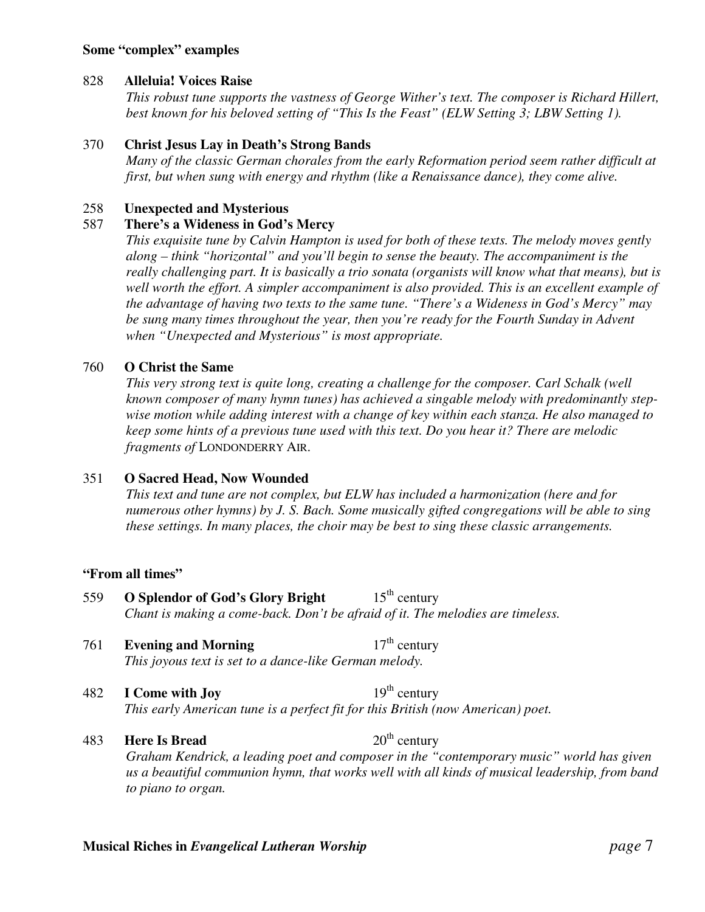#### **Some "complex" examples**

#### 828 **Alleluia! Voices Raise**

*This robust tune supports the vastness of George Wither's text. The composer is Richard Hillert, best known for his beloved setting of "This Is the Feast" (ELW Setting 3; LBW Setting 1).*

### 370 **Christ Jesus Lay in Death's Strong Bands**

*Many of the classic German chorales from the early Reformation period seem rather difficult at first, but when sung with energy and rhythm (like a Renaissance dance), they come alive.*

### 258 **Unexpected and Mysterious**

### 587 **There's a Wideness in God's Mercy**

*This exquisite tune by Calvin Hampton is used for both of these texts. The melody moves gently along – think "horizontal" and you'll begin to sense the beauty. The accompaniment is the really challenging part. It is basically a trio sonata (organists will know what that means), but is well worth the effort. A simpler accompaniment is also provided. This is an excellent example of the advantage of having two texts to the same tune. "There's a Wideness in God's Mercy" may be sung many times throughout the year, then you're ready for the Fourth Sunday in Advent when "Unexpected and Mysterious" is most appropriate.*

### 760 **O Christ the Same**

*This very strong text is quite long, creating a challenge for the composer. Carl Schalk (well known composer of many hymn tunes) has achieved a singable melody with predominantly stepwise motion while adding interest with a change of key within each stanza. He also managed to keep some hints of a previous tune used with this text. Do you hear it? There are melodic fragments of* LONDONDERRY AIR.

## 351 **O Sacred Head, Now Wounded**

*This text and tune are not complex, but ELW has included a harmonization (here and for numerous other hymns) by J. S. Bach. Some musically gifted congregations will be able to sing these settings. In many places, the choir may be best to sing these classic arrangements.*

#### **"From all times"**

- 559 **O Splendor of God's Glory Bright** 15 <sup>th</sup> century *Chant is making a come-back. Don't be afraid of it. The melodies are timeless.*
- 761 **Evening and Morning** 17 <sup>th</sup> century *This joyous text is set to a dance-like German melody.*
- **482 I** Come with Joy <sup>th</sup> century *This early American tune is a perfect fit for this British (now American) poet.*
- 483 **Here Is Bread** 20 <sup>th</sup> century *Graham Kendrick, a leading poet and composer in the "contemporary music" world has given us a beautiful communion hymn, that works well with all kinds of musical leadership, from band to piano to organ.*

#### **Musical Riches in** *Evangelical Lutheran Worship page* 7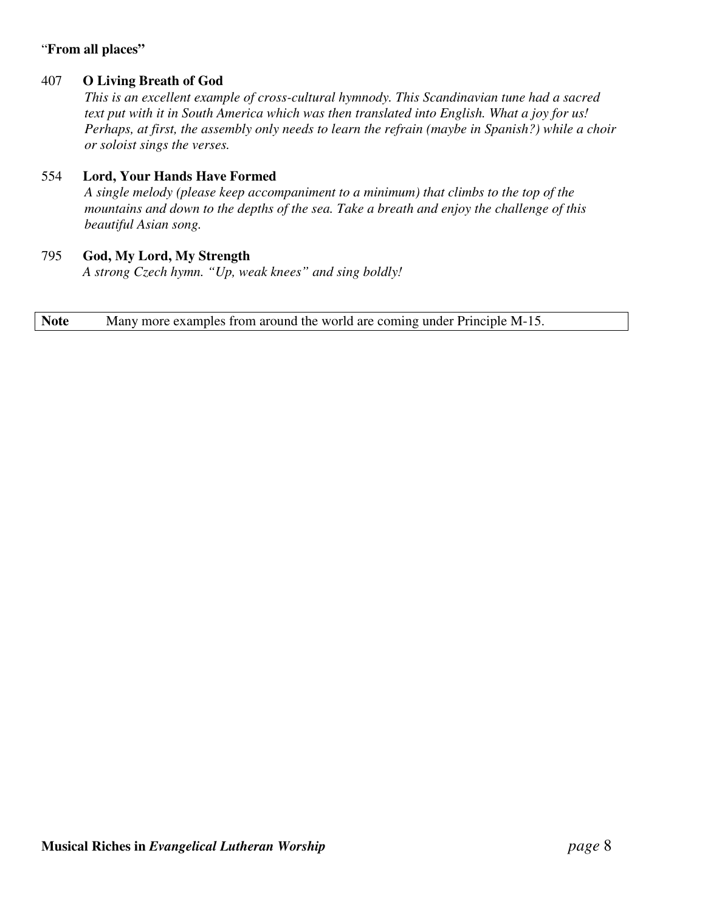## "**From all places"**

### 407 **O Living Breath of God**

*This is an excellent example of cross-cultural hymnody. This Scandinavian tune had a sacred text put with it in South America which was then translated into English. What a joy for us! Perhaps, at first, the assembly only needs to learn the refrain (maybe in Spanish?) while a choir or soloist sings the verses.*

### 554 **Lord, Your Hands Have Formed**

*A single melody (please keep accompaniment to a minimum) that climbs to the top of the mountains and down to the depths of the sea. Take a breath and enjoy the challenge of this beautiful Asian song.*

### 795 **God, My Lord, My Strength**

*A strong Czech hymn. "Up, weak knees" and sing boldly!*

**Note** Many more examples from around the world are coming under Principle M-15.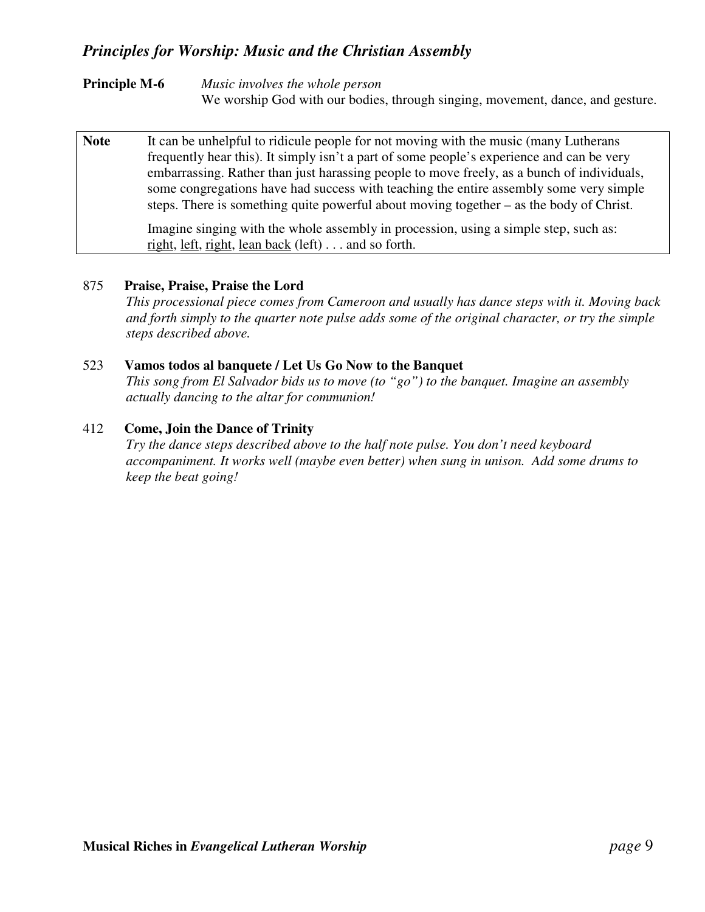**Principle M-6** *Music involves the whole person* We worship God with our bodies, through singing, movement, dance, and gesture.

| <b>Note</b> | It can be unhelpful to ridicule people for not moving with the music (many Lutherans<br>frequently hear this). It simply isn't a part of some people's experience and can be very<br>embarrassing. Rather than just hardsing people to move freely, as a bunch of individuals,<br>some congregations have had success with teaching the entire assembly some very simple<br>steps. There is something quite powerful about moving together – as the body of Christ. |
|-------------|---------------------------------------------------------------------------------------------------------------------------------------------------------------------------------------------------------------------------------------------------------------------------------------------------------------------------------------------------------------------------------------------------------------------------------------------------------------------|
|             | Imagine singing with the whole assembly in procession, using a simple step, such as:<br><u>right, left, right, lean back</u> (left) $\ldots$ and so forth.                                                                                                                                                                                                                                                                                                          |

#### 875 **Praise, Praise, Praise the Lord**

*This processional piece comes from Cameroon and usually has dance steps with it. Moving back and forth simply to the quarter note pulse adds some of the original character, or try the simple steps described above.*

#### 523 **Vamos todos al banquete / Let Us Go Now to the Banquet**

*This song from El Salvador bids us to move (to "go") to the banquet. Imagine an assembly actually dancing to the altar for communion!*

#### 412 **Come, Join the Dance of Trinity**

*Try the dance steps described above to the half note pulse. You don't need keyboard accompaniment. It works well (maybe even better) when sung in unison. Add some drums to keep the beat going!*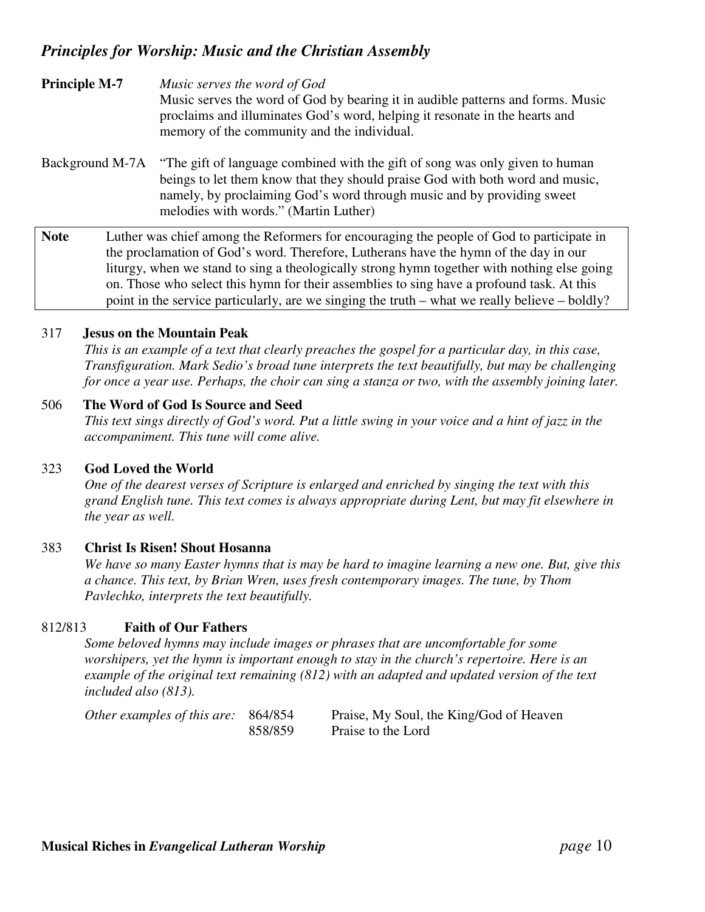# **Principle M-7** *Music serves the word of God* Music serves the word of God by bearing it in audible patterns and forms. Music proclaims and illuminates God's word, helping it resonate in the hearts and memory of the community and the individual.

Background M-7A "The gift of language combined with the gift of song was only given to human beings to let them know that they should praise God with both word and music, namely, by proclaiming God's word through music and by providing sweet melodies with words." (Martin Luther)

**Note** Luther was chief among the Reformers for encouraging the people of God to participate in the proclamation of God's word. Therefore, Lutherans have the hymn of the day in our liturgy, when we stand to sing a theologically strong hymn together with nothing else going on. Those who select this hymn for their assemblies to sing have a profound task. At this point in the service particularly, are we singing the truth – what we really believe – boldly?

#### 317 **Jesus on the Mountain Peak**

This is an example of a text that clearly preaches the gospel for a particular day, in this case, *Transfiguration. Mark Sedio's broad tune interprets the text beautifully, but may be challenging* for once a year use. Perhaps, the choir can sing a stanza or two, with the assembly joining later.

#### 506 **The Word of God Is Source and Seed**

This text sings directly of God's word. Put a little swing in your voice and a hint of jazz in the *accompaniment. This tune will come alive.*

#### 323 **God Loved the World**

*One of the dearest verses of Scripture is enlarged and enriched by singing the text with this grand English tune. This text comes is always appropriate during Lent, but may fit elsewhere in the year as well.*

#### 383 **Christ Is Risen! Shout Hosanna**

We have so many Easter hymns that is may be hard to imagine learning a new one. But, give this *a chance. This text, by Brian Wren, uses fresh contemporary images. The tune, by Thom Pavlechko, interprets the text beautifully.*

#### 812/813 **Faith of Our Fathers**

*Some beloved hymns may include images or phrases that are uncomfortable for some worshipers, yet the hymn is important enough to stay in the church's repertoire. Here is an example of the original text remaining (812) with an adapted and updated version of the text included also (813).*

| Other examples of this are: 864/854 |         | Praise, My Soul, the King/God of Heaven |  |
|-------------------------------------|---------|-----------------------------------------|--|
|                                     | 858/859 | Praise to the Lord                      |  |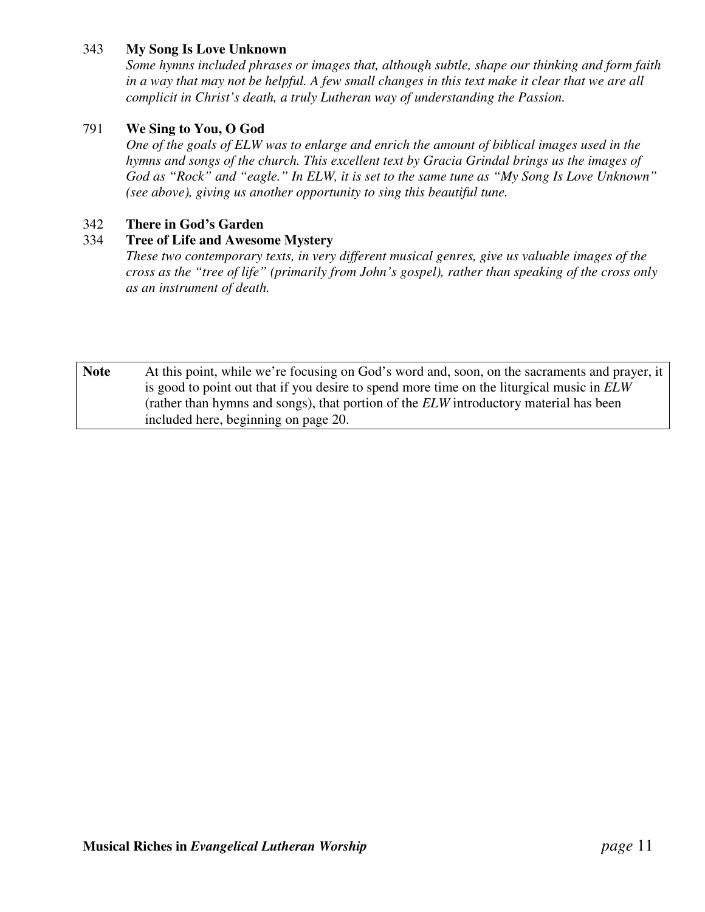### 343 **My Song Is Love Unknown**

*Some hymns included phrases or images that, although subtle, shape our thinking and form faith* in a way that may not be helpful. A few small changes in this text make it clear that we are all *complicit in Christ's death, a truly Lutheran way of understanding the Passion.*

### 791 **We Sing to You, O God**

*One of the goals of ELW was to enlarge and enrich the amount of biblical images used in the hymns and songs of the church. This excellent text by Gracia Grindal brings us the images of* God as "Rock" and "eagle." In ELW, it is set to the same tune as "My Song Is Love Unknown" *(see above), giving us another opportunity to sing this beautiful tune.*

#### 342 **There in God's Garden**

#### 334 **Tree of Life and Awesome Mystery**

*These two contemporary texts, in very different musical genres, give us valuable images of the cross as the "tree of life" (primarily from John's gospel), rather than speaking of the cross only as an instrument of death.*

**Note** At this point, while we're focusing on God's word and, soon, on the sacraments and prayer, it is good to point out that if you desire to spend more time on the liturgical music in *ELW* (rather than hymns and songs), that portion of the *ELW* introductory material has been included here, beginning on page 20.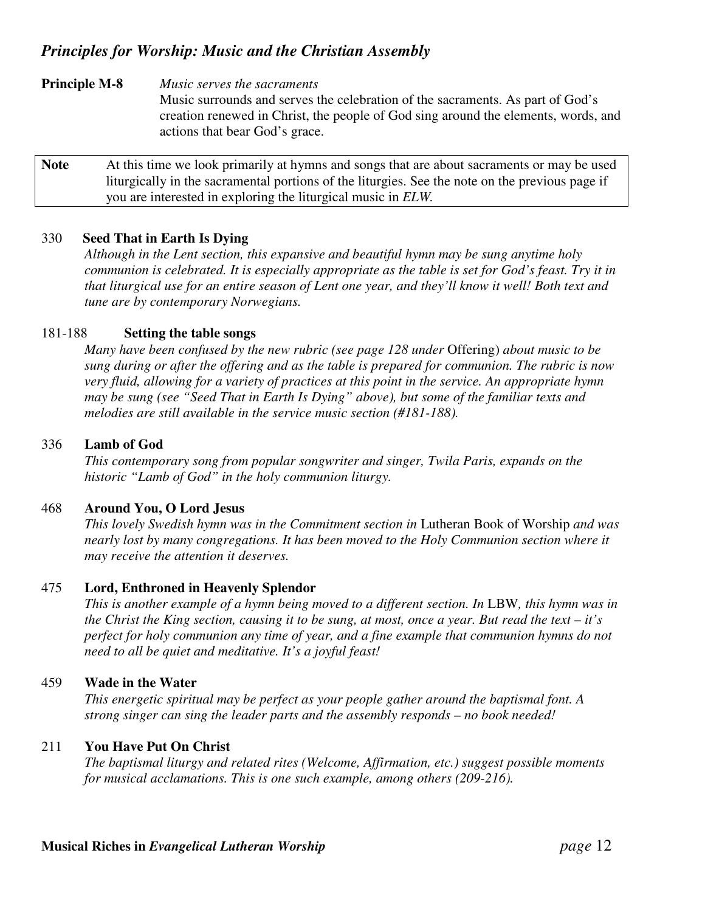**Principle M-8** *Music serves the sacraments*

Music surrounds and serves the celebration of the sacraments. As part of God's creation renewed in Christ, the people of God sing around the elements, words, and actions that bear God's grace.

Note At this time we look primarily at hymns and songs that are about sacraments or may be used liturgically in the sacramental portions of the liturgies. See the note on the previous page if you are interested in exploring the liturgical music in *ELW.*

#### 330 **Seed That in Earth Is Dying**

*Although in the Lent section, this expansive and beautiful hymn may be sung anytime holy* communion is celebrated. It is especially appropriate as the table is set for God's feast. Try it in that liturgical use for an entire season of Lent one year, and they'll know it well! Both text and *tune are by contemporary Norwegians.*

#### 181-188 **Setting the table songs**

*Many have been confused by the new rubric (see page 128 under* Offering) *about music to be sung during or after the offering and as the table is prepared for communion. The rubric is now very fluid, allowing for a variety of practices at this point in the service. An appropriate hymn may be sung (see "Seed That in Earth Is Dying" above), but some of the familiar texts and melodies are still available in the service music section (#181-188).*

#### 336 **Lamb of God**

*This contemporary song from popular songwriter and singer, Twila Paris, expands on the historic "Lamb of God" in the holy communion liturgy.*

#### 468 **Around You, O Lord Jesus**

*This lovely Swedish hymn was in the Commitment section in* Lutheran Book of Worship *and was nearly lost by many congregations. It has been moved to the Holy Communion section where it may receive the attention it deserves.*

#### 475 **Lord, Enthroned in Heavenly Splendor**

This is another example of a hymn being moved to a different section. In LBW, this hymn was in the Christ the King section, causing it to be sung, at most, once a year. But read the text – it's *perfect for holy communion any time of year, and a fine example that communion hymns do not need to all be quiet and meditative. It's a joyful feast!*

#### 459 **Wade in the Water**

*This energetic spiritual may be perfect as your people gather around the baptismal font. A strong singer can sing the leader parts and the assembly responds – no book needed!*

#### 211 **You Have Put On Christ**

*The baptismal liturgy and related rites (Welcome, Affirmation, etc.) suggest possible moments for musical acclamations. This is one such example, among others (209-216).*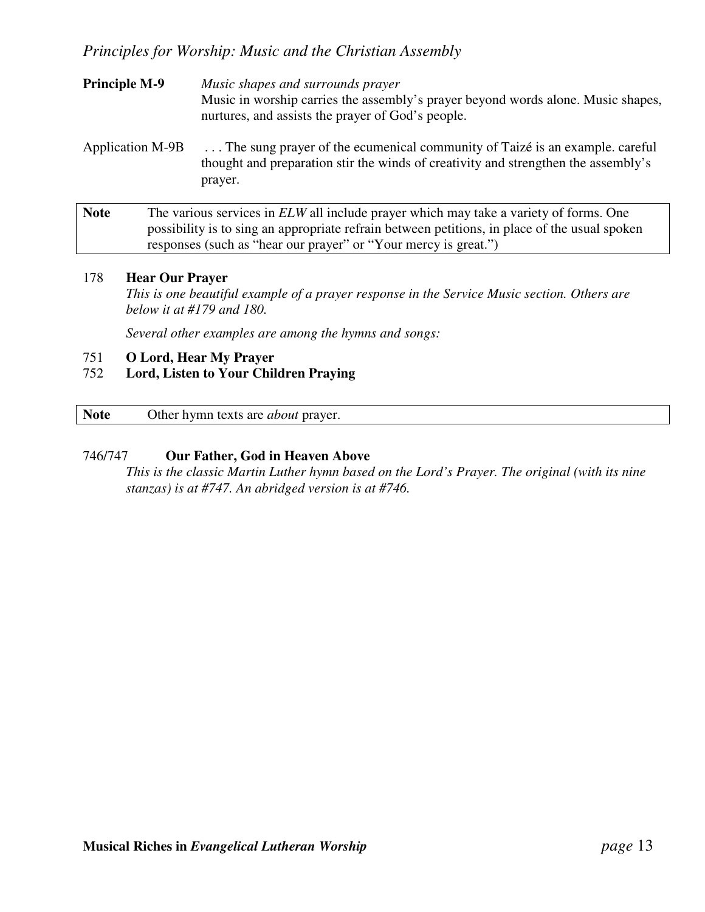- **Principle M-9** *Music shapes and surrounds prayer* Music in worship carries the assembly's prayer beyond words alone. Music shapes, nurtures, and assists the prayer of God's people.
- Application M-9B . . . The sung prayer of the ecumenical community of Taizé is an example. careful thought and preparation stir the winds of creativity and strengthen the assembly's prayer.
- Note The various services in *ELW* all include prayer which may take a variety of forms. One possibility is to sing an appropriate refrain between petitions, in place of the usual spoken responses (such as "hear our prayer" or "Your mercy is great.")

### 178 **Hear Our Prayer**

*This is one beautiful example of a prayer response in the Service Music section. Others are below it at #179 and 180.*

*Several other examples are among the hymns and songs:*

#### 751 **O Lord, Hear My Prayer**

#### 752 **Lord, Listen to Your Children Praying**

**Note** Other hymn texts are *about* prayer.

#### 746/747 **Our Father, God in Heaven Above**

*This is the classic Martin Luther hymn based on the Lord's Prayer. The original (with its nine stanzas) is at #747. An abridged version is at #746.*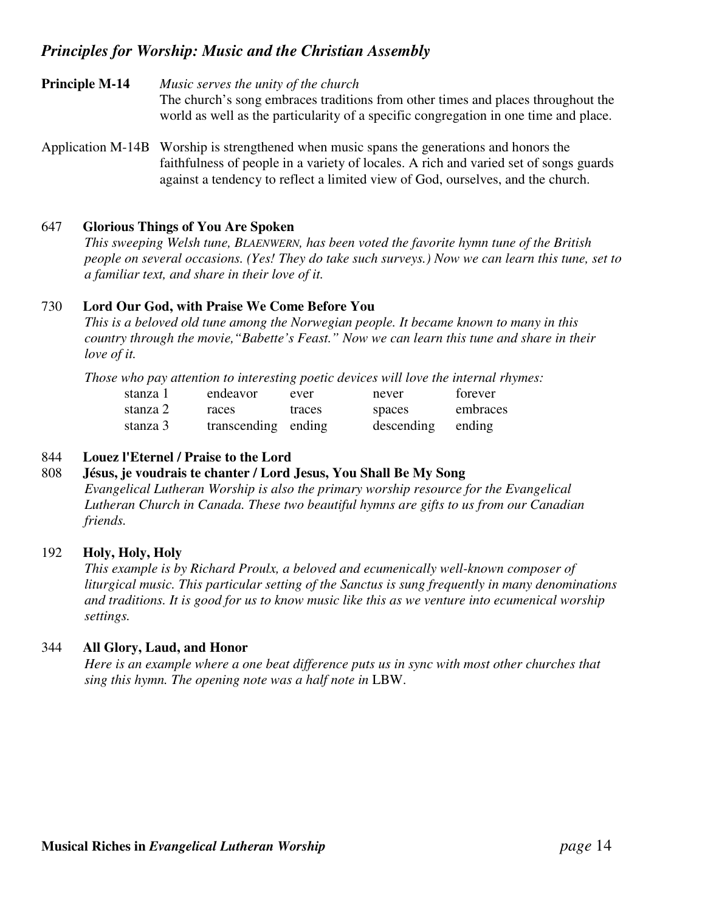**Principle M-14** *Music serves the unity of the church* The church's song embraces traditions from other times and places throughout the world as well as the particularity of a specific congregation in one time and place.

Application M-14B Worship is strengthened when music spans the generations and honors the faithfulness of people in a variety of locales. A rich and varied set of songs guards against a tendency to reflect a limited view of God, ourselves, and the church.

#### 647 **Glorious Things of You Are Spoken**

*This sweeping Welsh tune, BLAENWERN, has been voted the favorite hymn tune of the British people on several occasions. (Yes! They do take such surveys.) Now we can learn this tune, set to a familiar text, and share in their love of it.*

#### 730 **Lord Our God, with Praise We Come Before You**

*This is a beloved old tune among the Norwegian people. It became known to many in this country through the movie,"Babette's Feast." Now we can learn this tune and share in their love of it.*

*Those who pay attention to interesting poetic devices will love the internal rhymes:*

| stanza 1 | endeavor            | ever   | never      | forever  |
|----------|---------------------|--------|------------|----------|
| stanza 2 | races               | traces | spaces     | embraces |
| stanza 3 | transcending ending |        | descending | ending   |

### 844 **Louez l'Eternel / Praise to the Lord**

#### 808 **Jésus, je voudrais te chanter / Lord Jesus, You Shall Be My Song**

*Evangelical Lutheran Worship is also the primary worship resource for the Evangelical Lutheran Church in Canada. These two beautiful hymns are gifts to us from our Canadian friends.*

#### 192 **Holy, Holy, Holy**

*This example is by Richard Proulx, a beloved and ecumenically well-known composer of liturgical music. This particular setting of the Sanctus is sung frequently in many denominations and traditions. It is good for us to know music like this as we venture into ecumenical worship settings.*

#### 344 **All Glory, Laud, and Honor**

*Here is an example where a one beat difference puts us in sync with most other churches that sing this hymn. The opening note was a half note in* LBW.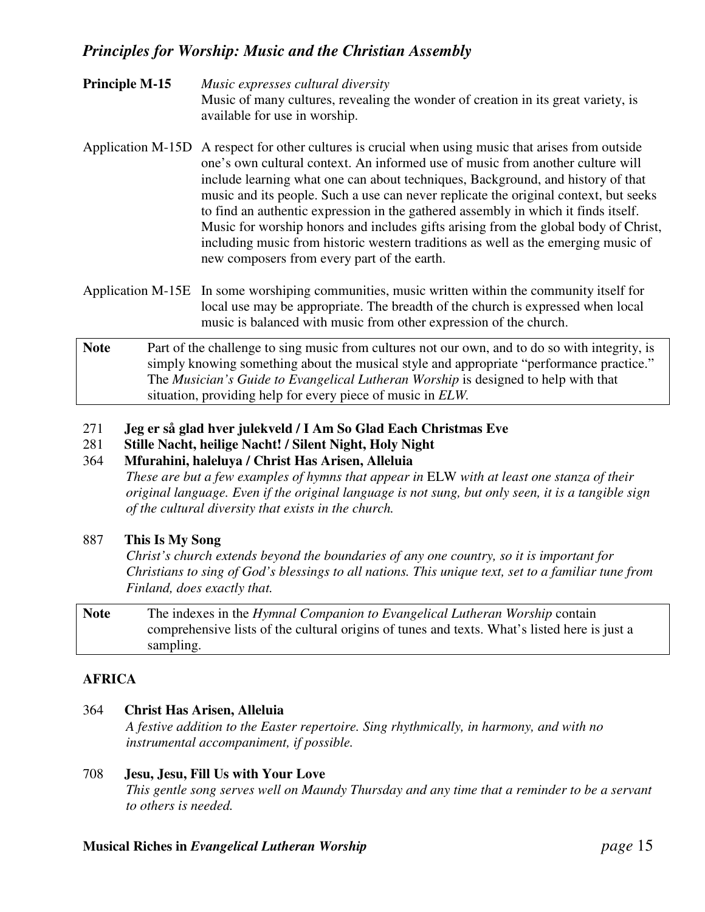- **Principle M-15** *Music expresses cultural diversity* Music of many cultures, revealing the wonder of creation in its great variety, is available for use in worship.
- Application M-15D A respect for other cultures is crucial when using music that arises from outside one's own cultural context. An informed use of music from another culture will include learning what one can about techniques, Background, and history of that music and its people. Such a use can never replicate the original context, but seeks to find an authentic expression in the gathered assembly in which it finds itself. Music for worship honors and includes gifts arising from the global body of Christ, including music from historic western traditions as well as the emerging music of new composers from every part of the earth.
- Application M-15E In some worshiping communities, music written within the community itself for local use may be appropriate. The breadth of the church is expressed when local music is balanced with music from other expression of the church.
- Note Part of the challenge to sing music from cultures not our own, and to do so with integrity, is simply knowing something about the musical style and appropriate "performance practice." The *Musician's Guide to Evangelical Lutheran Worship* is designed to help with that situation, providing help for every piece of music in *ELW.*
- 271 **Jeg er så glad hver julekveld / I Am So Glad Each Christmas Eve**
- 281 **Stille Nacht, heilige Nacht! / Silent Night, Holy Night**

#### 364 **Mfurahini, haleluya / Christ Has Arisen, Alleluia**

*These are but a few examples of hymns that appear in* ELW *with at least one stanza of their original language. Even if the original language is not sung, but only seen, it is a tangible sign of the cultural diversity that exists in the church.*

## 887 **This Is My Song**

*Christ's church extends beyond the boundaries of any one country, so it is important for* Christians to sing of God's blessings to all nations. This unique text, set to a familiar tune from *Finland, does exactly that.*

**Note** The indexes in the *Hymnal Companion to Evangelical Lutheran Worship* contain comprehensive lists of the cultural origins of tunes and texts. What's listed here is just a sampling.

## **AFRICA**

#### 364 **Christ Has Arisen, Alleluia**

*A festive addition to the Easter repertoire. Sing rhythmically, in harmony, and with no instrumental accompaniment, if possible.*

### 708 **Jesu, Jesu, Fill Us with Your Love**

*This gentle song serves well on Maundy Thursday and any time that a reminder to be a servant to others is needed.*

#### **Musical Riches in** *Evangelical Lutheran Worship page* 15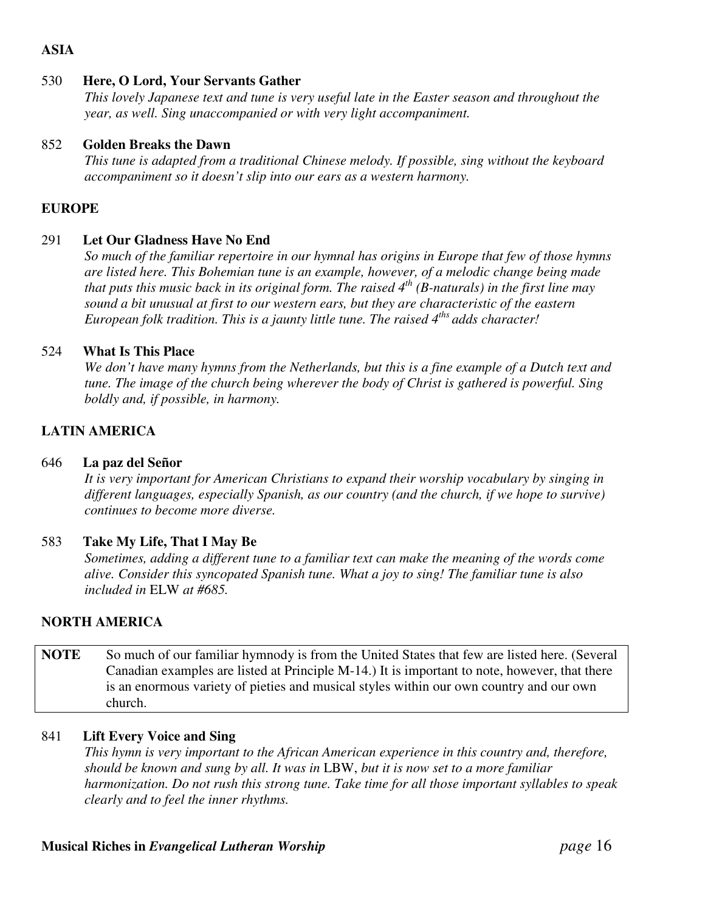# **ASIA**

#### 530 **Here, O Lord, Your Servants Gather**

*This lovely Japanese text and tune is very useful late in the Easter season and throughout the year, as well. Sing unaccompanied or with very light accompaniment.*

#### 852 **Golden Breaks the Dawn**

*This tune is adapted from a traditional Chinese melody. If possible, sing without the keyboard accompaniment so it doesn't slip into our ears as a western harmony.*

#### **EUROPE**

#### 291 **Let Our Gladness Have No End**

*So much of the familiar repertoire in our hymnal has origins in Europe that few of those hymns are listed here. This Bohemian tune is an example, however, of a melodic change being made* that puts this music back in its original form. The raised  $4^{th}$  (B-naturals) in the first line may *sound a bit unusual at first to our western ears, but they are characteristic of the eastern European folk tradition. This is a jaunty little tune. The raised 4 ths adds character!*

#### 524 **What Is This Place**

We don't have many hymns from the Netherlands, but this is a fine example of a Dutch text and *tune. The image of the church being wherever the body of Christ is gathered is powerful. Sing boldly and, if possible, in harmony.*

### **LATIN AMERICA**

#### 646 **La paz del Señor**

*It is very important for American Christians to expand their worship vocabulary by singing in different languages, especially Spanish, as our country (and the church, if we hope to survive) continues to become more diverse.*

#### 583 **Take My Life, That I May Be**

*Sometimes, adding a different tune to a familiar text can make the meaning of the words come alive. Consider this syncopated Spanish tune. What a joy to sing! The familiar tune is also included in* ELW *at #685.*

#### **NORTH AMERICA**

**NOTE** So much of our familiar hymnody is from the United States that few are listed here. (Several Canadian examples are listed at Principle M-14.) It is important to note, however, that there is an enormous variety of pieties and musical styles within our own country and our own church.

#### 841 **Lift Every Voice and Sing**

*This hymn is very important to the African American experience in this country and, therefore, should be known and sung by all. It was in* LBW, *but it is now set to a more familiar harmonization. Do not rush this strong tune. Take time for all those important syllables to speak clearly and to feel the inner rhythms.*

#### **Musical Riches in** *Evangelical Lutheran Worship page* 16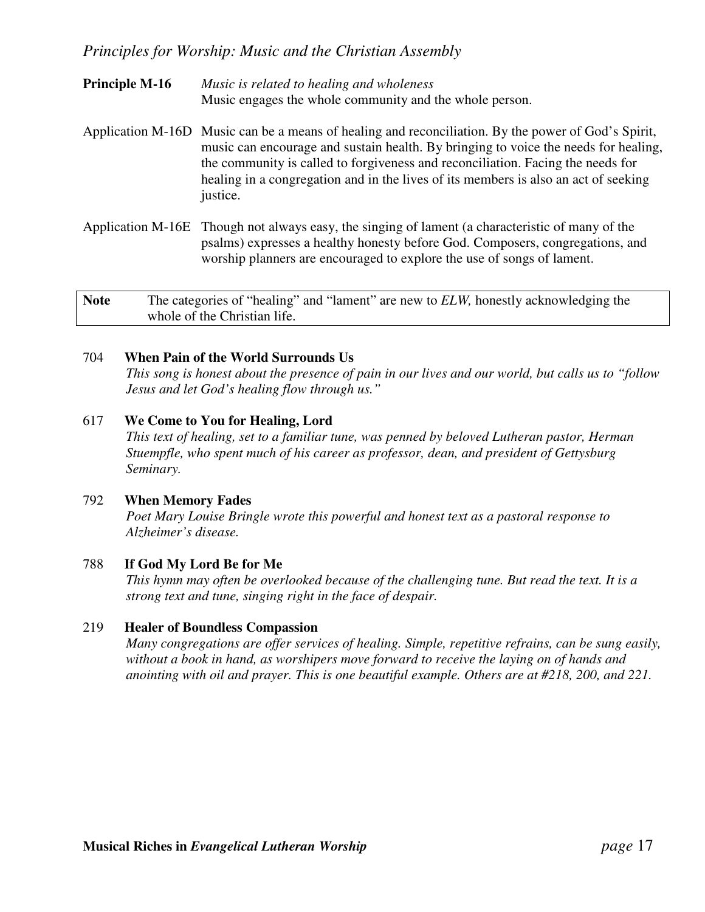- **Principle M-16** *Music is related to healing and wholeness* Music engages the whole community and the whole person.
- Application M-16D Music can be a means of healing and reconciliation. By the power of God's Spirit, music can encourage and sustain health. By bringing to voice the needs for healing, the community is called to forgiveness and reconciliation. Facing the needs for healing in a congregation and in the lives of its members is also an act of seeking justice.
- Application M-16E Though not always easy, the singing of lament (a characteristic of many of the psalms) expresses a healthy honesty before God. Composers, congregations, and worship planners are encouraged to explore the use of songs of lament.

**Note** The categories of "healing" and "lament" are new to *ELW,* honestly acknowledging the whole of the Christian life.

### 704 **When Pain of the World Surrounds Us**

This song is honest about the presence of pain in our lives and our world, but calls us to "follow" *Jesus and let God's healing flow through us."*

### 617 **We Come to You for Healing, Lord**

*This text of healing, set to a familiar tune, was penned by beloved Lutheran pastor, Herman Stuempfle, who spent much of his career as professor, dean, and president of Gettysburg Seminary.*

#### 792 **When Memory Fades**

*Poet Mary Louise Bringle wrote this powerful and honest text as a pastoral response to Alzheimer's disease.*

#### 788 **If God My Lord Be for Me**

*This hymn may often be overlooked because of the challenging tune. But read the text. It is a strong text and tune, singing right in the face of despair.*

#### 219 **Healer of Boundless Compassion**

*Many congregations are offer services of healing. Simple, repetitive refrains, can be sung easily, without a book in hand, as worshipers move forward to receive the laying on of hands and anointing with oil and prayer. This is one beautiful example. Others are at #218, 200, and 221.*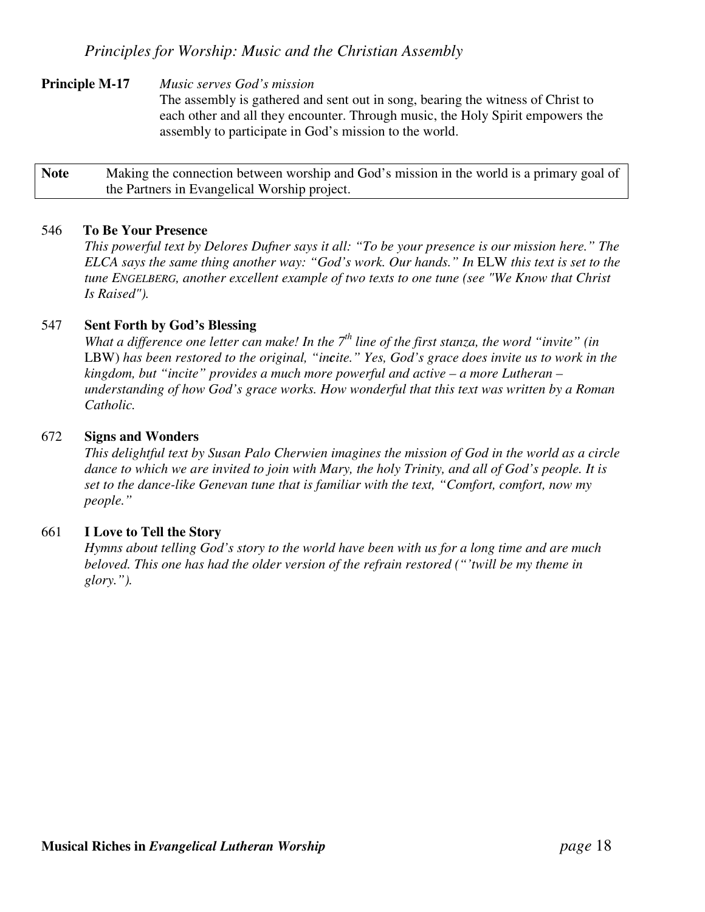### **Principle M-17** *Music serves God's mission*

The assembly is gathered and sent out in song, bearing the witness of Christ to each other and all they encounter. Through music, the Holy Spirit empowers the assembly to participate in God's mission to the world.

**Note** Making the connection between worship and God's mission in the world is a primary goal of the Partners in Evangelical Worship project.

#### 546 **To Be Your Presence**

*This powerful text by Delores Dufner says it all: "To be your presence is our mission here." The ELCA says the same thing another way: "God's work. Our hands." In* ELW *this text is set to the tune ENGELBERG, another excellent example of two texts to one tune (see "We Know that Christ Is Raised").*

#### 547 **Sent Forth by God's Blessing**

What a difference one letter can make! In the  $7<sup>th</sup>$  line of the first stanza, the word "invite" (in LBW) has been restored to the original, "incite." Yes, God's grace does invite us to work in the *kingdom, but "incite" provides a much more powerful and active – a more Lutheran – understanding of how God's grace works. How wonderful that this text was written by a Roman Catholic.*

#### 672 **Signs and Wonders**

*This delightful text by Susan Palo Cherwien imagines the mission of God in the world as a circle* dance to which we are invited to join with Mary, the holy Trinity, and all of God's people. It is *set to the dance-like Genevan tune that is familiar with the text, "Comfort, comfort, now my people."*

#### 661 **I Love to Tell the Story**

*Hymns about telling God's story to the world have been with us for a long time and are much beloved. This one has had the older version of the refrain restored ("'twill be my theme in glory.").*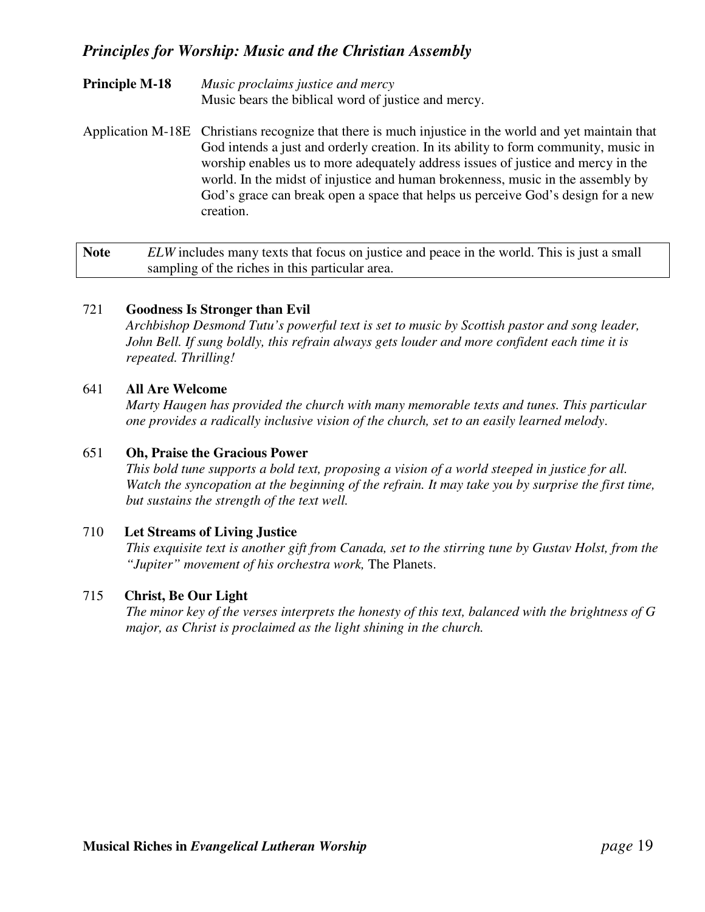- **Principle M-18** *Music proclaims justice and mercy* Music bears the biblical word of justice and mercy.
- Application M-18E Christians recognize that there is much injustice in the world and yet maintain that God intends a just and orderly creation. In its ability to form community, music in worship enables us to more adequately address issues of justice and mercy in the world. In the midst of injustice and human brokenness, music in the assembly by God's grace can break open a space that helps us perceive God's design for a new creation.

**Note** *ELW* includes many texts that focus on justice and peace in the world. This is just a small sampling of the riches in this particular area.

### 721 **Goodness Is Stronger than Evil**

*Archbishop Desmond Tutu's powerful text is set to music by Scottish pastor and song leader, John Bell. If sung boldly, this refrain always gets louder and more confident each time it is repeated. Thrilling!*

### 641 **All Are Welcome**

*Marty Haugen has provided the church with many memorable texts and tunes. This particular one provides a radically inclusive vision of the church, set to an easily learned melody*.

#### 651 **Oh, Praise the Gracious Power**

*This bold tune supports a bold text, proposing a vision of a world steeped in justice for all. Watch the syncopation at the beginning of the refrain. It may take you by surprise the first time, but sustains the strength of the text well.*

#### 710 **Let Streams of Living Justice**

This exquisite text is another gift from Canada, set to the stirring tune by Gustav Holst, from the *"Jupiter" movement of his orchestra work,* The Planets.

### 715 **Christ, Be Our Light**

*The minor key of the verses interprets the honesty of this text, balanced with the brightness of G major, as Christ is proclaimed as the light shining in the church.*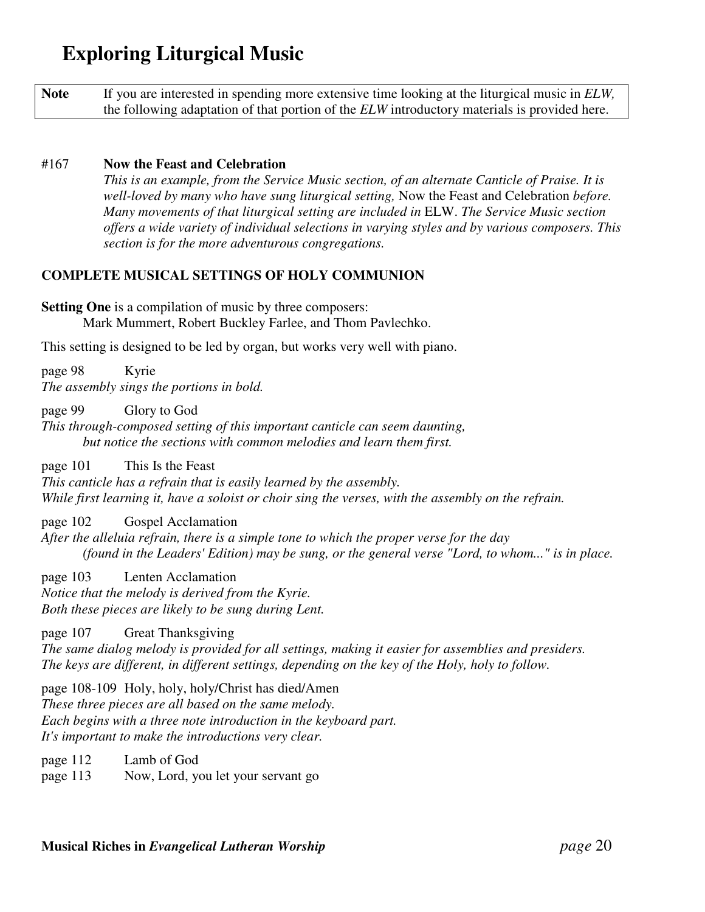| <b>Note</b> | If you are interested in spending more extensive time looking at the liturgical music in ELW,       |
|-------------|-----------------------------------------------------------------------------------------------------|
|             | the following adaptation of that portion of the <i>ELW</i> introductory materials is provided here. |

#### #167 **Now the Feast and Celebration**

*This is an example, from the Service Music section, of an alternate Canticle of Praise. It is well-loved by many who have sung liturgical setting,* Now the Feast and Celebration *before. Many movements of that liturgical setting are included in* ELW. *The Service Music section offers a wide variety of individual selections in varying styles and by various composers. This section is for the more adventurous congregations.*

## **COMPLETE MUSICAL SETTINGS OF HOLY COMMUNION**

**Setting One** is a compilation of music by three composers: Mark Mummert, Robert Buckley Farlee, and Thom Pavlechko.

This setting is designed to be led by organ, but works very well with piano.

page 98 Kyrie *The assembly sings the portions in bold.*

page 99 Glory to God

*This through-composed setting of this important canticle can seem daunting, but notice the sections with common melodies and learn them first.*

page 101 This Is the Feast

*This canticle has a refrain that is easily learned by the assembly.* While first learning it, have a soloist or choir sing the verses, with the assembly on the refrain.

page 102 Gospel Acclamation

*After the alleluia refrain, there is a simple tone to which the proper verse for the day (found in the Leaders'Edition) may be sung, or the general verse "Lord, to whom..." is in place.*

page 103 Lenten Acclamation *Notice that the melody is derived from the Kyrie. Both these pieces are likely to be sung during Lent.*

page 107 Great Thanksgiving *The same dialog melody is provided for all settings, making it easier for assemblies and presiders. The keys are different, in different settings, depending on the key of the Holy, holy to follow.*

page 108-109 Holy, holy, holy/Christ has died/Amen *These three pieces are all based on the same melody. Each begins with a three note introduction in the keyboard part. It's important to make the introductions very clear.*

page 112 Lamb of God

page 113 Now, Lord, you let your servant go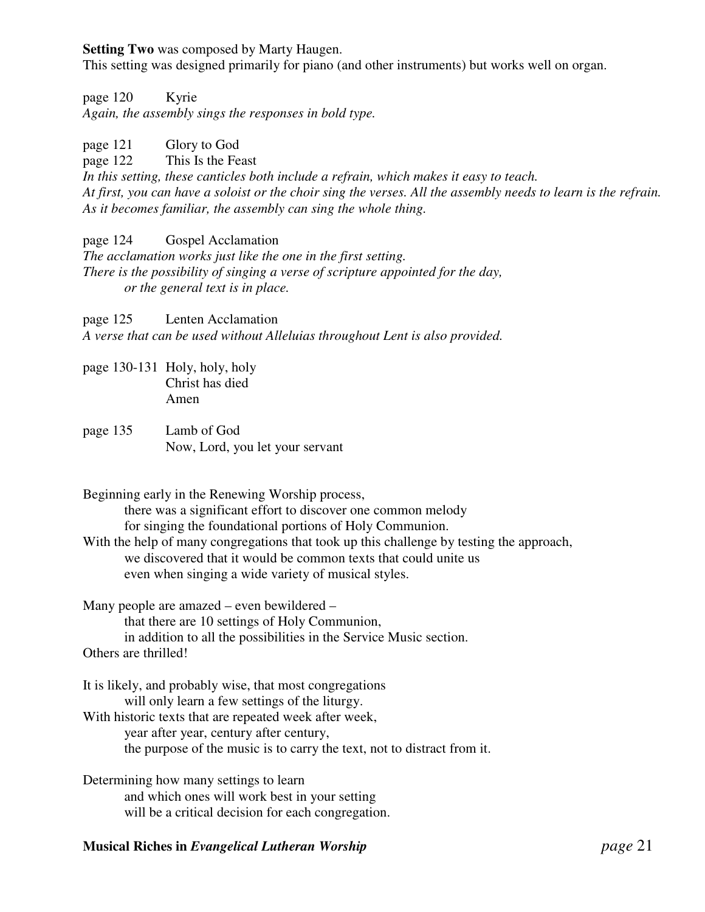**Setting Two** was composed by Marty Haugen.

This setting was designed primarily for piano (and other instruments) but works well on organ.

page 120 Kyrie *Again, the assembly sings the responses in bold type.*

page 121 Glory to God page 122 This Is the Feast *In this setting, these canticles both include a refrain, which makes it easy to teach.* At first, you can have a soloist or the choir sing the verses. All the assembly needs to learn is the refrain. *As it becomes familiar, the assembly can sing the whole thing.*

page 124 Gospel Acclamation *The acclamation works just like the one in the first setting. There is the possibility of singing a verse of scripture appointed for the day, or the general text is in place.*

page 125 Lenten Acclamation *A verse that can be used without Alleluias throughout Lent is also provided.*

- page 130-131 Holy, holy, holy Christ has died Amen
- page 135 Lamb of God Now, Lord, you let your servant

Beginning early in the Renewing Worship process, there was a significant effort to discover one common melody for singing the foundational portions of Holy Communion.

With the help of many congregations that took up this challenge by testing the approach, we discovered that it would be common texts that could unite us even when singing a wide variety of musical styles.

Many people are amazed – even bewildered – that there are 10 settings of Holy Communion, in addition to all the possibilities in the Service Music section. Others are thrilled!

It is likely, and probably wise, that most congregations will only learn a few settings of the liturgy. With historic texts that are repeated week after week, year after year, century after century, the purpose of the music is to carry the text, not to distract from it.

Determining how many settings to learn and which ones will work best in your setting will be a critical decision for each congregation.

# **Musical Riches in** *Evangelical Lutheran Worship page* 21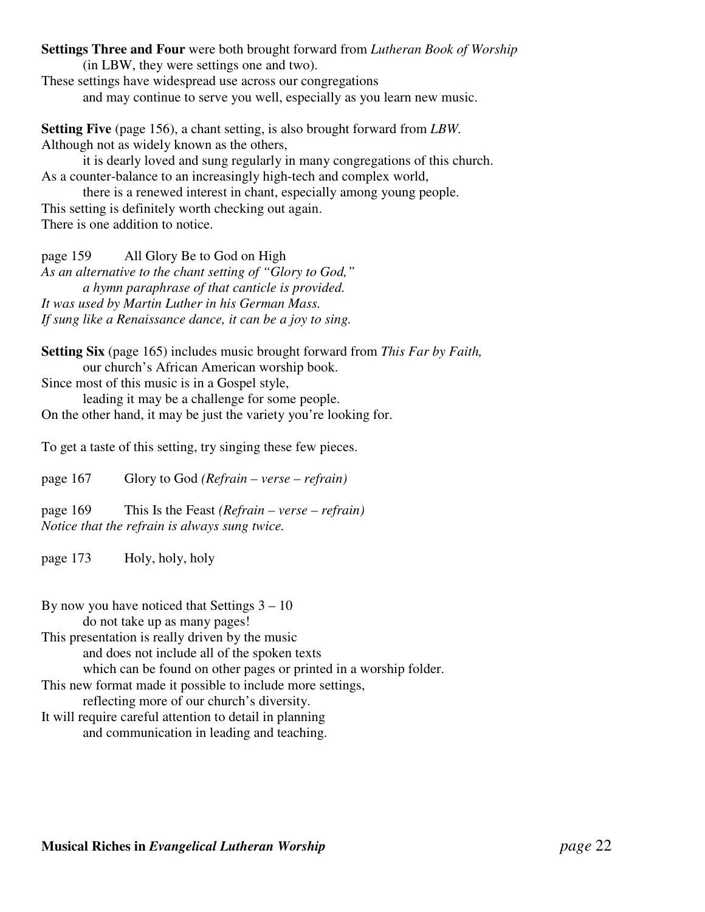**Settings Three and Four** were both brought forward from *Lutheran Book of Worship*

(in LBW, they were settings one and two).

These settings have widespread use across our congregations and may continue to serve you well, especially as you learn new music.

**Setting Five** (page 156), a chant setting, is also brought forward from *LBW.* Although not as widely known as the others,

it is dearly loved and sung regularly in many congregations of this church. As a counter-balance to an increasingly high-tech and complex world,

there is a renewed interest in chant, especially among young people. This setting is definitely worth checking out again. There is one addition to notice.

page 159 All Glory Be to God on High *As an alternative to the chant setting of "Glory to God," a hymn paraphrase of that canticle is provided. It was used by Martin Luther in his German Mass. If sung like a Renaissance dance, it can be a joy to sing.*

**Setting Six** (page 165) includes music brought forward from *This Far by Faith,* our church's African American worship book.

Since most of this music is in a Gospel style,

leading it may be a challenge for some people. On the other hand, it may be just the variety you're looking for.

To get a taste of this setting, try singing these few pieces.

page 167 Glory to God *(Refrain – verse – refrain)*

page 169 This Is the Feast *(Refrain – verse – refrain) Notice that the refrain is always sung twice.*

page 173 Holy, holy, holy

By now you have noticed that Settings  $3 - 10$ 

do not take up as many pages!

This presentation is really driven by the music

and does not include all of the spoken texts

which can be found on other pages or printed in a worship folder.

This new format made it possible to include more settings,

reflecting more of our church's diversity.

It will require careful attention to detail in planning and communication in leading and teaching.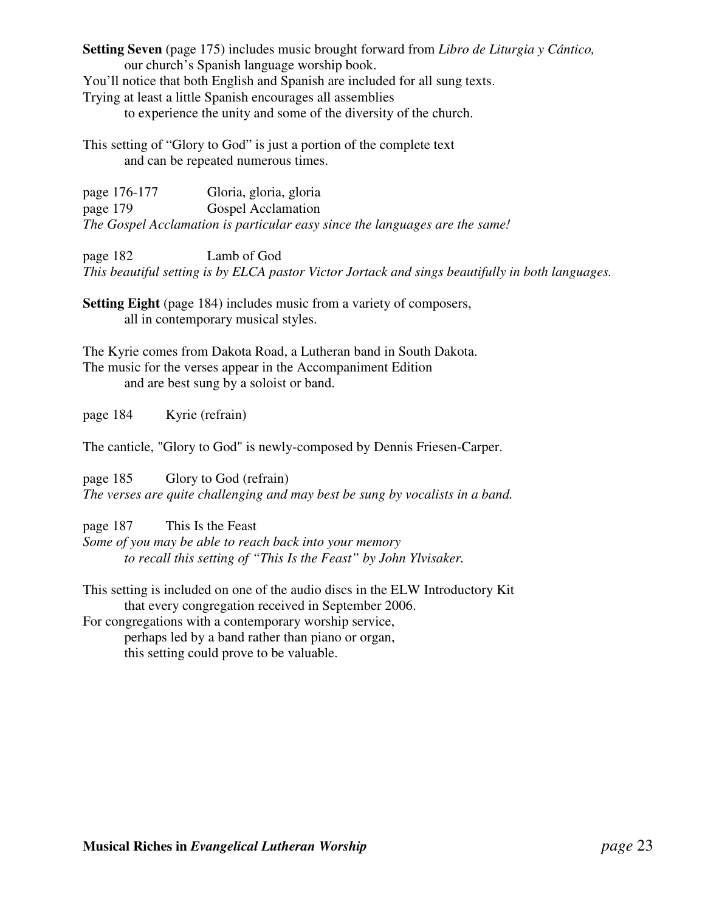**Setting Seven** (page 175) includes music brought forward from *Libro de Liturgia y Cántico,* our church's Spanish language worship book.

You'll notice that both English and Spanish are included for all sung texts.

Trying at least a little Spanish encourages all assemblies

to experience the unity and some of the diversity of the church.

This setting of "Glory to God" is just a portion of the complete text and can be repeated numerous times.

| page 176-177 | Gloria, gloria, gloria                                                      |
|--------------|-----------------------------------------------------------------------------|
| page 179     | <b>Gospel Acclamation</b>                                                   |
|              | The Gospel Acclamation is particular easy since the languages are the same! |

page 182 Lamb of God *This beautiful setting is by ELCA pastor Victor Jortack and sings beautifully in both languages.*

**Setting Eight** (page 184) includes music from a variety of composers, all in contemporary musical styles.

The Kyrie comes from Dakota Road, a Lutheran band in South Dakota. The music for the verses appear in the Accompaniment Edition and are best sung by a soloist or band.

page 184 Kyrie (refrain)

The canticle, "Glory to God" is newly-composed by Dennis Friesen-Carper.

page 185 Glory to God (refrain) *The verses are quite challenging and may best be sung by vocalists in a band.*

page 187 This Is the Feast *Some of you may be able to reach back into your memory to recall this setting of "This Is the Feast" by John Ylvisaker.*

This setting is included on one of the audio discs in the ELW Introductory Kit that every congregation received in September 2006.

For congregations with a contemporary worship service, perhaps led by a band rather than piano or organ, this setting could prove to be valuable.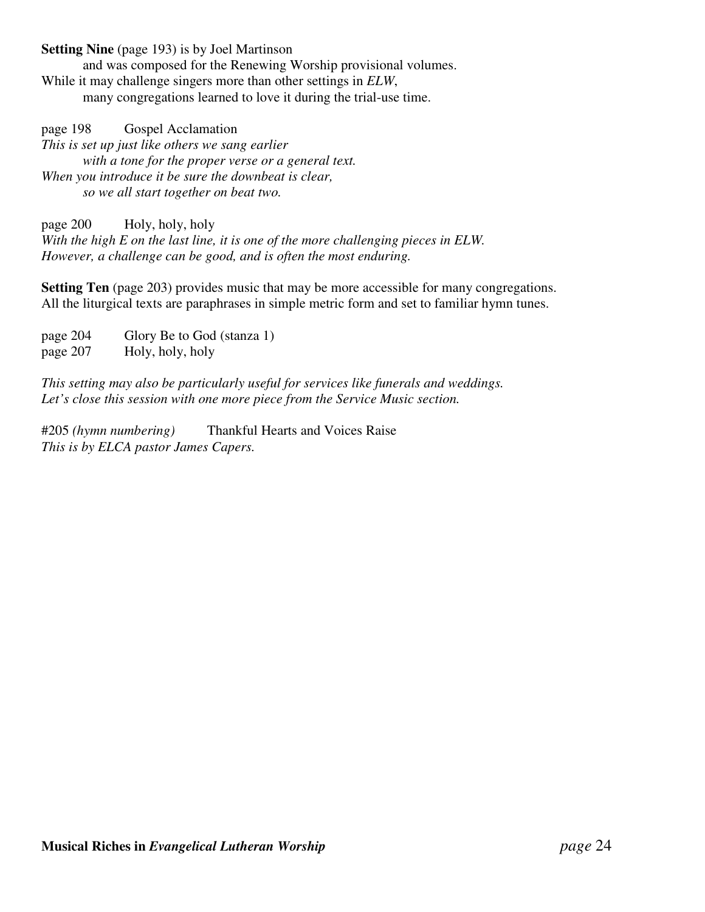**Setting Nine** (page 193) is by Joel Martinson

and was composed for the Renewing Worship provisional volumes. While it may challenge singers more than other settings in *ELW*, many congregations learned to love it during the trial-use time.

page 198 Gospel Acclamation *This is set up just like others we sang earlier with a tone for the proper verse or a general text. When you introduce it be sure the downbeat is clear, so we all start together on beat two.*

page 200 Holy, holy, holy *With the high E on the last line, it is one of the more challenging pieces in ELW. However, a challenge can be good, and is often the most enduring.*

**Setting Ten** (page 203) provides music that may be more accessible for many congregations. All the liturgical texts are paraphrases in simple metric form and set to familiar hymn tunes.

page 204 Glory Be to God (stanza 1) page 207 Holy, holy, holy

*This setting may also be particularly useful for services like funerals and weddings. Let's close this session with one more piece from the Service Music section.*

#205 *(hymn numbering)* Thankful Hearts and Voices Raise *This is by ELCA pastor James Capers.*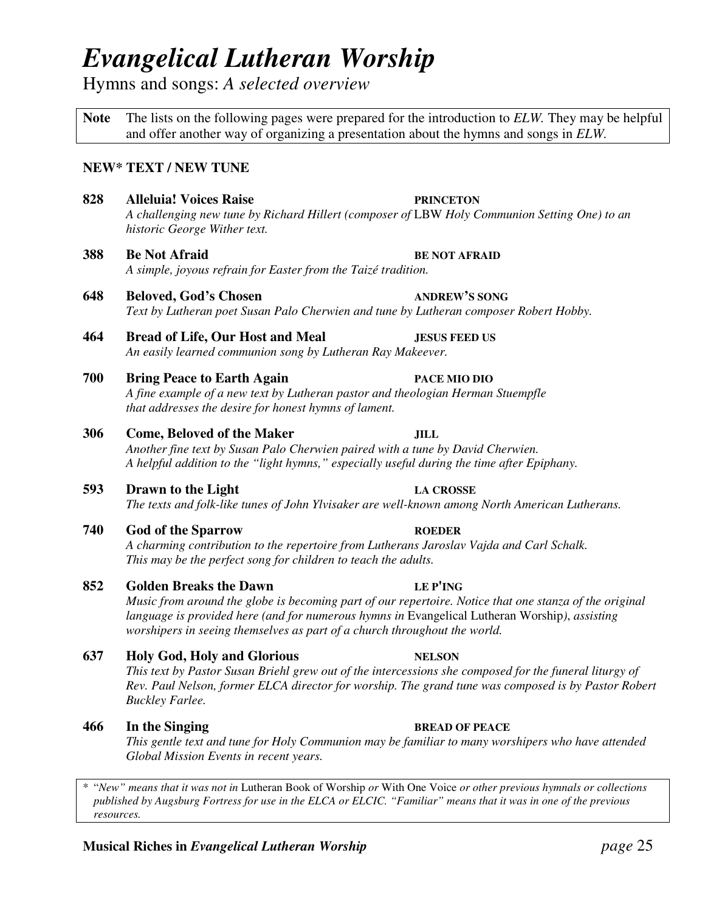# *Evangelical Lutheran Worship*

Hymns and songs: *A selected overview*

**Note** The lists on the following pages were prepared for the introduction to *ELW.* They may be helpful and offer another way of organizing a presentation about the hymns and songs in *ELW.*

### **NEW\* TEXT / NEW TUNE**

- **828 Alleluia! Voices Raise PRINCETON** *A challenging new tune by Richard Hillert (composer of* LBW *Holy Communion Setting One) to an historic George Wither text.*
- **388 Be Not Afraid BE NOT AFRAID** *A simple, joyous refrain for Easter from the Taizé tradition.*
- **648 Beloved, God's Chosen ANDREW'S SONG** *Text by Lutheran poet Susan Palo Cherwien and tune by Lutheran composer Robert Hobby.*
- **464 Bread of Life, Our Host and Meal JESUS FEED US** *An easily learned communion song by Lutheran Ray Makeever.*
- **700 Bring Peace to Earth Again PACE MIO DIO** *A fine example of a new text by Lutheran pastor and theologian Herman Stuempfle that addresses the desire for honest hymns of lament.*

#### **306 Come, Beloved of the Maker JILL**

*Another fine text by Susan Palo Cherwien paired with a tune by David Cherwien. A helpful addition to the "light hymns," especially useful during the time after Epiphany.*

**593 Drawn to the Light LA CROSSE**

*The texts and folk-like tunes of John Ylvisaker are well-known among North American Lutherans.*

**740 God of the Sparrow ROEDER**

*A charming contribution to the repertoire from Lutherans Jaroslav Vajda and Carl Schalk. This may be the perfect song for children to teach the adults.*

#### **852 Golden Breaks the Dawn LE P'ING**

Music from around the globe is becoming part of our repertoire. Notice that one stanza of the original *language is provided here (and for numerous hymns in* Evangelical Lutheran Worship*)*, *assisting worshipers in seeing themselves as part of a church throughout the world.*

#### **637 Holy God, Holy and Glorious NELSON**

This text by Pastor Susan Briehl grew out of the intercessions she composed for the funeral liturgy of *Rev. Paul Nelson, former ELCA director for worship. The grand tune was composed is by Pastor Robert Buckley Farlee.*

#### **466 In the Singing BREAD OF PEACE**

*This gentle text and tune for Holy Communion may be familiar to many worshipers who have attended Global Mission Events in recent years.*

\* "*New" means that it was not in* Lutheran Book of Worship *or* With One Voice *or other previous hymnals or collections* published by Augsburg Fortress for use in the ELCA or ELCIC. "Familiar" means that it was in one of the previous *resources.*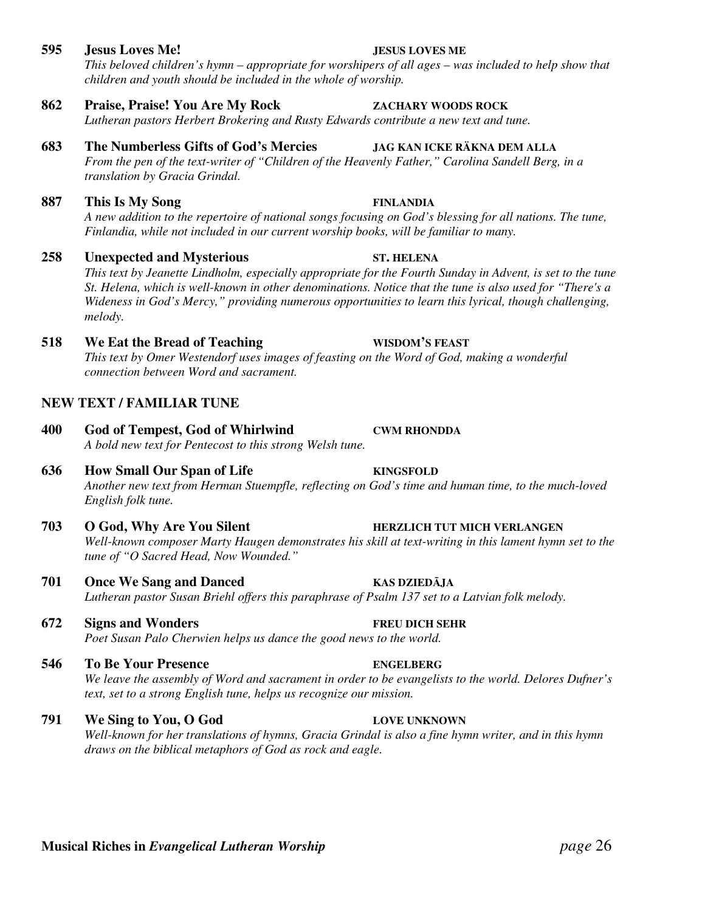This beloved children's hymn – appropriate for worshipers of all ages – was included to help show that *children and youth should be included in the whole of worship.*

# **862 Praise, Praise! You Are My Rock ZACHARY WOODS ROCK**

*Lutheran pastors Herbert Brokering and Rusty Edwards contribute a new text and tune.*

# **683 The Numberless Gifts of God's Mercies JAG KAN ICKE RÄKNA DEM ALLA**

*From the pen of the text-writer of "Children of the Heavenly Father," Carolina Sandell Berg, in a translation by Gracia Grindal.*

# **887 This Is My Song FINLANDIA**

A new addition to the repertoire of national songs focusing on God's blessing for all nations. The tune, *Finlandia, while not included in our current worship books, will be familiar to many.*

# **258 Unexpected and Mysterious ST. HELENA**

This text by Jeanette Lindholm, especially appropriate for the Fourth Sunday in Advent, is set to the tune St. Helena, which is well-known in other denominations. Notice that the tune is also used for "There's a *Wideness in God's Mercy," providing numerous opportunities to learn this lyrical, though challenging, melody.*

# **518 We Eat the Bread of Teaching WISDOM'S FEAST**

*This text by Omer Westendorf uses images of feasting on the Word of God, making a wonderful connection between Word and sacrament.*

# **NEW TEXT / FAMILIAR TUNE**

**400 God of Tempest, God of Whirlwind CWM RHONDDA** *A bold new text for Pentecost to this strong Welsh tune.*

# **636 How Small Our Span of Life KINGSFOLD**

*Another new text from Herman Stuempfle, reflecting on God's time and human time, to the much-loved English folk tune.*

- **703 O God, Why Are You Silent HERZLICH TUT MICH VERLANGEN** *Well-known composer Marty Haugen demonstrates his skill at text-writing in this lament hymn set to the tune of "O Sacred Head, Now Wounded."*
- **701 Once We Sang and Danced KAS DZIEDĀJA** *Lutheran pastor Susan Briehl offers this paraphrase of Psalm 137 set to a Latvian folk melody.*
- **672 Signs and Wonders FREU DICH SEHR** *Poet Susan Palo Cherwien helps us dance the good news to the world.*
- **546 To Be Your Presence ENGELBERG** We leave the assembly of Word and sacrament in order to be evangelists to the world. Delores Dufner's *text, set to a strong English tune, helps us recognize our mission.*

#### **791 We Sing to You, O God LOVE UNKNOWN** Well-known for her translations of hymns, Gracia Grindal is also a fine hymn writer, and in this hymn *draws on the biblical metaphors of God as rock and eagle.*

#### **595 Jesus Loves Me! JESUS LOVES ME**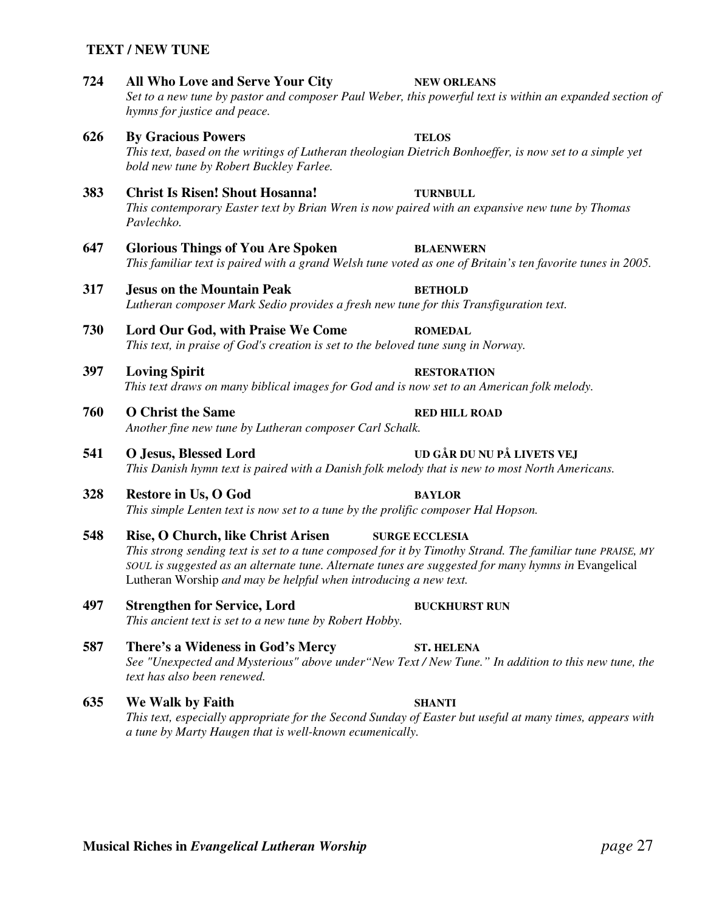#### **TEXT / NEW TUNE**

**724 All Who Love and Serve Your City NEW ORLEANS** Set to a new tune by pastor and composer Paul Weber, this powerful text is within an expanded section of *hymns for justice and peace.* **626 By Gracious Powers TELOS** This text, based on the writings of Lutheran theologian Dietrich Bonhoeffer, is now set to a simple yet *bold new tune by Robert Buckley Farlee.* **383 Christ Is Risen! Shout Hosanna! TURNBULL** *This contemporary Easter text by Brian Wren is now paired with an expansive new tune by Thomas Pavlechko.* **647 Glorious Things of You Are Spoken BLAENWERN** This familiar text is paired with a grand Welsh tune voted as one of Britain's ten favorite tunes in 2005. **317 Jesus on the Mountain Peak BETHOLD** *Lutheran composer Mark Sedio provides a fresh new tune for this Transfiguration text.* **730 Lord Our God, with Praise We Come ROMEDAL** *This text, in praise of God's creation is set to the beloved tune sung in Norway.* **397 Loving Spirit RESTORATION** *This text draws on many biblical images for God and is now set to an American folk melody.* **760 O Christ the Same RED HILL ROAD** *Another fine new tune by Lutheran composer Carl Schalk.* **541 O Jesus, Blessed Lord UD GÅR DU NU PÅ LIVETS VEJ** *This Danish hymn text is paired with a Danish folk melody that is new to most North Americans.* **328 Restore in Us, O God BAYLOR** *This simple Lenten text is now set to a tune by the prolific composer Hal Hopson.* **548 Rise, O Church, like Christ Arisen SURGE ECCLESIA** This strong sending text is set to a tune composed for it by Timothy Strand. The familiar tune PRAISE, MY *SOUL is suggested as an alternate tune. Alternate tunes are suggested for many hymns in* Evangelical Lutheran Worship *and may be helpful when introducing a new text.* **497 Strengthen for Service, Lord BUCKHURST RUN** *This ancient text is set to a new tune by Robert Hobby.* **587 There's a Wideness in God's Mercy ST. HELENA** *See "Unexpected and Mysterious" above under"New Text / New Tune." In addition to this new tune, the text has also been renewed.* **635 We Walk by Faith SHANTI**

*This text, especially appropriate for the Second Sunday of Easter but useful at many times, appears with a tune by Marty Haugen that is well-known ecumenically.*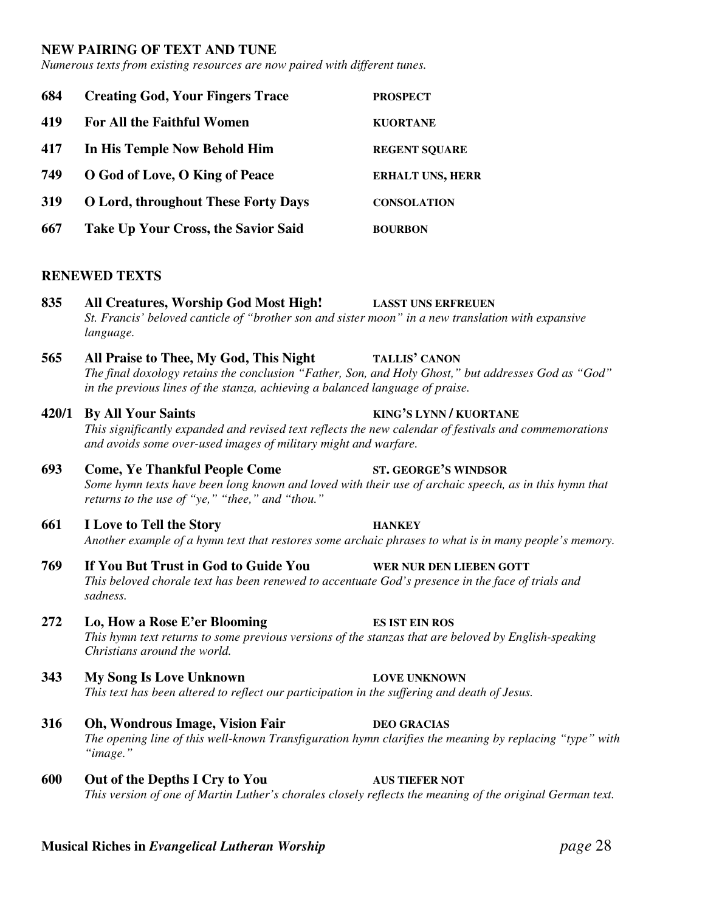#### **NEW PAIRING OF TEXT AND TUNE**

*Numerous texts from existing resources are now paired with different tunes.*

| 684 | <b>Creating God, Your Fingers Trace</b>    | <b>PROSPECT</b>         |
|-----|--------------------------------------------|-------------------------|
| 419 | For All the Faithful Women                 | <b>KUORTANE</b>         |
| 417 | In His Temple Now Behold Him               | <b>REGENT SOUARE</b>    |
| 749 | O God of Love, O King of Peace             | <b>ERHALT UNS, HERR</b> |
| 319 | <b>O Lord, throughout These Forty Days</b> | <b>CONSOLATION</b>      |
| 667 | Take Up Your Cross, the Savior Said        | <b>BOURBON</b>          |

#### **RENEWED TEXTS**

**835 All Creatures, Worship God Most High! LASST UNS ERFREUEN** *St. Francis' beloved canticle of "brother son and sister moon" in a new translation with expansive language.*

#### **565 All Praise to Thee, My God, This Night TALLIS' CANON**

*The final doxology retains the conclusion "Father, Son, and Holy Ghost," but addresses God as "God" in the previous lines of the stanza, achieving a balanced language of praise.*

- **420/1 By All Your Saints KING'S LYNN / KUORTANE** *This significantly expanded and revised text reflects the new calendar of festivals and commemorations and avoids some over-used images of military might and warfare.*
- **693 Come, Ye Thankful People Come ST. GEORGE'S WINDSOR** Some hymn texts have been long known and loved with their use of archaic speech, as in this hymn that *returns to the use of "ye," "thee," and "thou."*
- **661 I Love to Tell the Story HANKEY** Another example of a hymn text that restores some archaic phrases to what is in many people's memory.
- **769 If You But Trust in God to Guide You WER NUR DEN LIEBEN GOTT** *This beloved chorale text has been renewed to accentuate God's presence in the face of trials and sadness.*
- **272 Lo, How a Rose E'er Blooming ES IST EIN ROS** *This hymn text returns to some previous versions of the stanzas that are beloved by English-speaking Christians around the world.*
- **343 My Song Is Love Unknown LOVE UNKNOWN** *This text has been altered to reflect our participation in the suffering and death of Jesus.*
- **316 Oh, Wondrous Image, Vision Fair DEO GRACIAS** *The opening line of this well-known Transfiguration hymn clarifies the meaning by replacing "type" with "image."*
- **600 Out of the Depths I Cry to You AUS TIEFER NOT** *This version of one of Martin Luther's chorales closely reflects the meaning of the original German text.*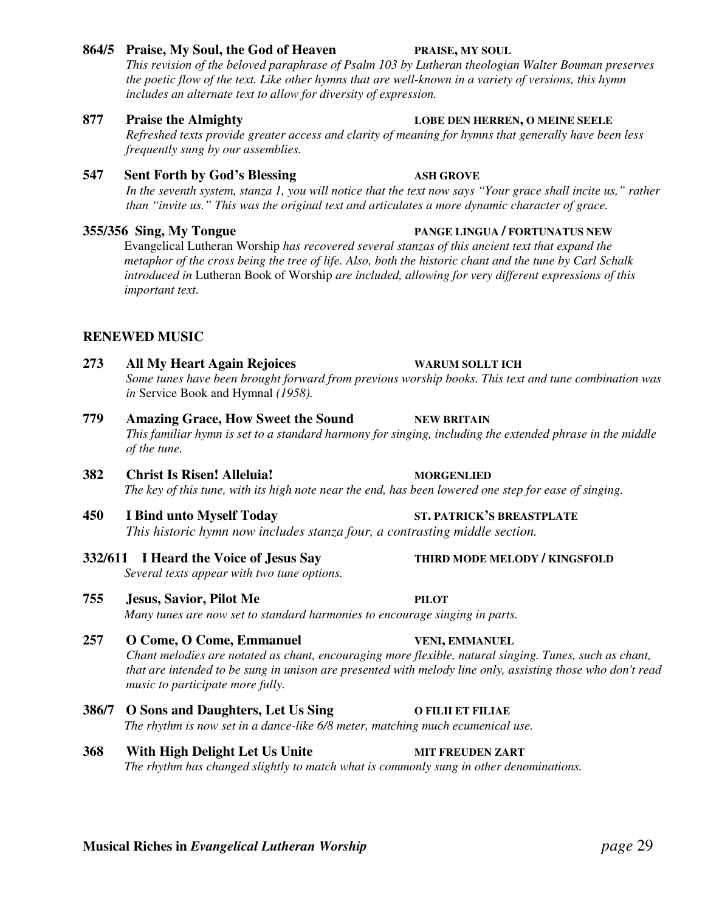#### **864/5 Praise, My Soul, the God of Heaven PRAISE, MY SOUL**

*This revision of the beloved paraphrase of Psalm 103 by Lutheran theologian Walter Bouman preserves* the poetic flow of the text. Like other hymns that are well-known in a variety of versions, this hymn *includes an alternate text to allow for diversity of expression.*

### **877 Praise the Almighty LOBE DEN HERREN, O MEINE SEELE**

*Refreshed texts provide greater access and clarity of meaning for hymns that generally have been less frequently sung by our assemblies.*

## **547 Sent Forth by God's Blessing ASH GROVE**

In the seventh system, stanza 1, you will notice that the text now says "Your grace shall incite us," rather *than "invite us." This was the original text and articulates a more dynamic character of grace.*

## **355/356 Sing, My Tongue PANGE LINGUA / FORTUNATUS NEW**

Evangelical Lutheran Worship *has recovered several stanzas of this ancient text that expand the* metaphor of the cross being the tree of life. Also, both the historic chant and the tune by Carl Schalk *introduced in* Lutheran Book of Worship *are included, allowing for very different expressions of this important text.*

# **RENEWED MUSIC**

# **273 All My Heart Again Rejoices WARUM SOLLT ICH**

- *Some tunes have been brought forward from previous worship books. This text and tune combination was in* Service Book and Hymnal *(1958).*
- **779 Amazing Grace, How Sweet the Sound NEW BRITAIN** This familiar hymn is set to a standard harmony for singing, including the extended phrase in the middle *of the tune.*
- **382 Christ Is Risen! Alleluia! MORGENLIED** The key of this tune, with its high note near the end, has been lowered one step for ease of singing.
- **450 I Bind unto Myself Today ST. PATRICK'S BREASTPLATE** *This historic hymn now includes stanza four, a contrasting middle section.*
- **332/611 I Heard the Voice of Jesus Say THIRD MODE MELODY / KINGSFOLD** *Several texts appear with two tune options.*
- **755 Jesus, Savior, Pilot Me PILOT** *Many tunes are now set to standard harmonies to encourage singing in parts.*
- **257 O Come, O Come, Emmanuel VENI, EMMANUEL** *Chant melodies are notated as chant, encouraging more flexible, natural singing. Tunes, such as chant,* that are intended to be sung in unison are presented with melody line only, assisting those who don't read *music to participate more fully.*
- **386/7 O Sons and Daughters, Let Us Sing O FILII ET FILIAE** *The rhythm is now set in a dance-like 6/8 meter, matching much ecumenical use.*
- **368 With High Delight Let Us Unite MIT FREUDEN ZART** *The rhythm has changed slightly to match what is commonly sung in other denominations.*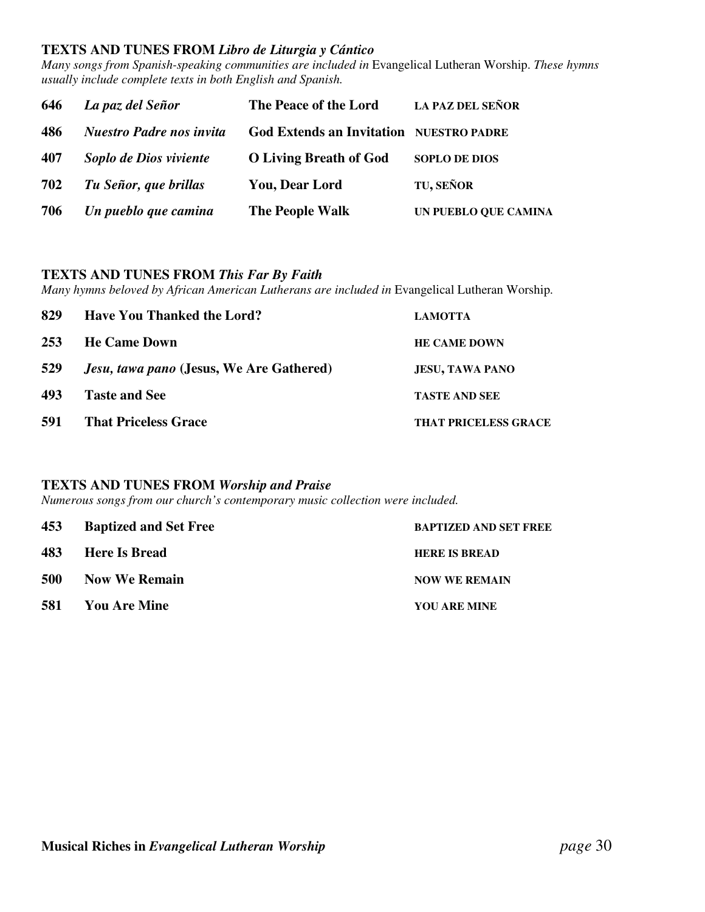#### **TEXTS AND TUNES FROM** *Libro de Liturgia y Cántico*

*Many songs from Spanish-speaking communities are included in* Evangelical Lutheran Worship. *These hymns usually include complete texts in both English and Spanish.*

| 646 | La paz del Señor                | The Peace of the Lord                          | <b>LA PAZ DEL SEÑOR</b> |
|-----|---------------------------------|------------------------------------------------|-------------------------|
| 486 | <b>Nuestro Padre nos invita</b> | <b>God Extends an Invitation NUESTRO PADRE</b> |                         |
| 407 | Soplo de Dios viviente          | <b>O Living Breath of God</b>                  | <b>SOPLO DE DIOS</b>    |
| 702 | Tu Señor, que brillas           | <b>You, Dear Lord</b>                          | TU, SEÑOR               |
| 706 | Un pueblo que camina            | The People Walk                                | UN PUEBLO QUE CAMINA    |

#### **TEXTS AND TUNES FROM** *This Far By Faith*

*Many hymns beloved by African American Lutherans are included in* Evangelical Lutheran Worship.

| 829        | <b>Have You Thanked the Lord?</b>               | <b>LAMOTTA</b>              |
|------------|-------------------------------------------------|-----------------------------|
| <b>253</b> | <b>He Came Down</b>                             | <b>HE CAME DOWN</b>         |
| 529        | <i>Jesu, tawa pano</i> (Jesus, We Are Gathered) | <b>JESU, TAWA PANO</b>      |
| 493        | <b>Taste and See</b>                            | <b>TASTE AND SEE</b>        |
| 591        | <b>That Priceless Grace</b>                     | <b>THAT PRICELESS GRACE</b> |

#### **TEXTS AND TUNES FROM** *Worship and Praise*

*Numerous songs from our church's contemporary music collection were included.*

|            | 453 Baptized and Set Free | <b>BAPTIZED AND SET FREE</b> |
|------------|---------------------------|------------------------------|
|            | 483 Here Is Bread         | <b>HERE IS BREAD</b>         |
| <b>500</b> | <b>Now We Remain</b>      | <b>NOW WE REMAIN</b>         |
|            | <b>581</b> You Are Mine   | YOU ARE MINE                 |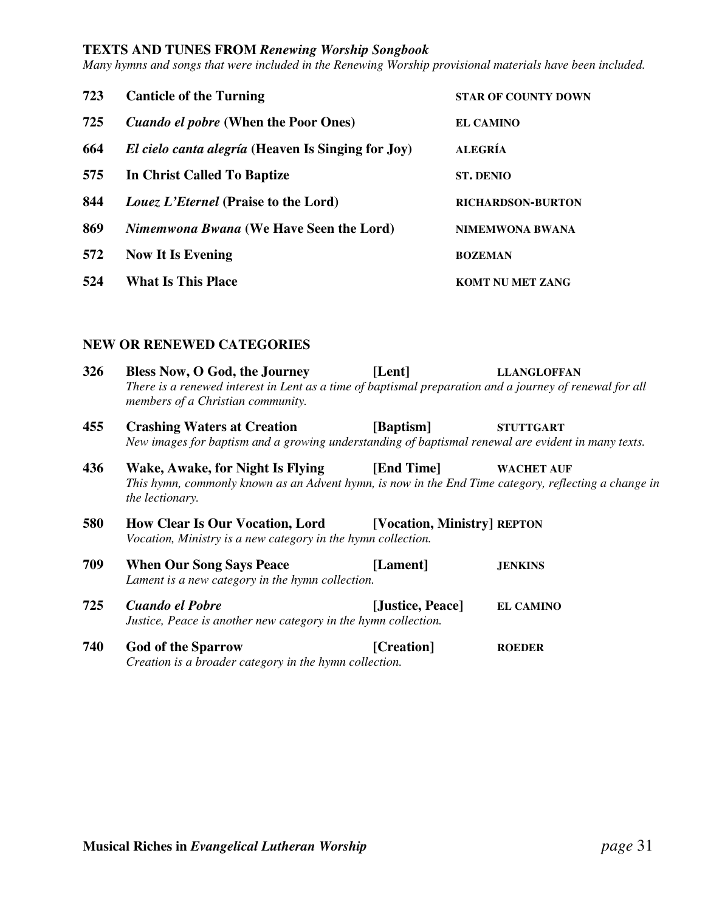#### **TEXTS AND TUNES FROM** *Renewing Worship Songbook*

*Many hymns and songs that were included in the Renewing Worship provisional materials have been included.*

| 723 | <b>Canticle of the Turning</b>                            | <b>STAR OF COUNTY DOWN</b> |
|-----|-----------------------------------------------------------|----------------------------|
| 725 | <i>Cuando el pobre</i> (When the Poor Ones)               | EL CAMINO                  |
| 664 | <i>El cielo canta alegría</i> (Heaven Is Singing for Joy) | <b>ALEGRÍA</b>             |
| 575 | In Christ Called To Baptize                               | <b>ST. DENIO</b>           |
| 844 | Louez L'Eternel (Praise to the Lord)                      | <b>RICHARDSON-BURTON</b>   |
| 869 | <i>Nimemwona Bwana</i> (We Have Seen the Lord)            | <b>NIMEMWONA BWANA</b>     |
| 572 | <b>Now It Is Evening</b>                                  | <b>BOZEMAN</b>             |
| 524 | <b>What Is This Place</b>                                 | <b>KOMT NU MET ZANG</b>    |

#### **NEW OR RENEWED CATEGORIES**

| 326 | Bless Now, O God, the Journey<br>There is a renewed interest in Lent as a time of baptismal preparation and a journey of renewal for all<br>members of a Christian community.               | [Lent]           | <b>LLANGLOFFAN</b> |
|-----|---------------------------------------------------------------------------------------------------------------------------------------------------------------------------------------------|------------------|--------------------|
| 455 | <b>Crashing Waters at Creation</b><br>New images for baptism and a growing understanding of baptismal renewal are evident in many texts.                                                    | [Baptism]        | <b>STUTTGART</b>   |
| 436 | Wake, Awake, for Night Is Flying [End Time]<br><b>WACHET AUF</b><br>This hymn, commonly known as an Advent hymn, is now in the End Time category, reflecting a change in<br>the lectionary. |                  |                    |
| 580 | <b>How Clear Is Our Vocation, Lord [Vocation, Ministry] REPTON</b><br>Vocation, Ministry is a new category in the hymn collection.                                                          |                  |                    |
| 709 | <b>When Our Song Says Peace</b><br>Lament is a new category in the hymn collection.                                                                                                         | [Lament]         | <b>JENKINS</b>     |
| 725 | Cuando el Pobre<br>Justice, Peace is another new category in the hymn collection.                                                                                                           | [Justice, Peace] | <b>EL CAMINO</b>   |
| 740 | <b>God of the Sparrow</b><br>Creation is a broader category in the hymn collection.                                                                                                         | [Creation]       | <b>ROEDER</b>      |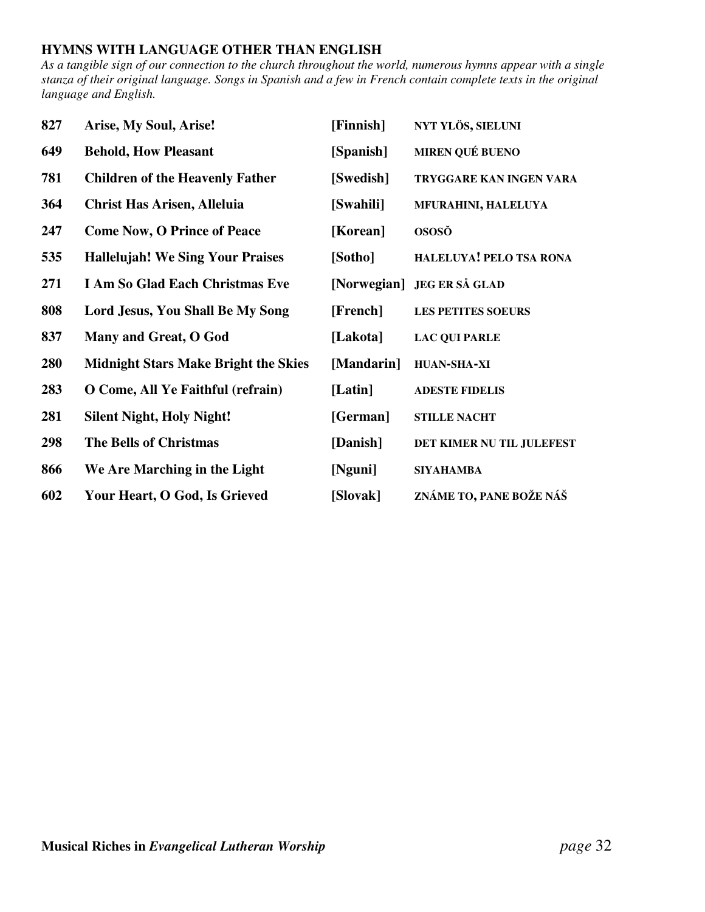# **HYMNS WITH LANGUAGE OTHER THAN ENGLISH**

As a tangible sign of our connection to the church throughout the world, numerous hymns appear with a single stanza of their original language. Songs in Spanish and a few in French contain complete texts in the original *language and English.*

| 827 | Arise, My Soul, Arise!                      | [Finnish]  | NYT YLÖS, SIELUNI          |
|-----|---------------------------------------------|------------|----------------------------|
| 649 | <b>Behold, How Pleasant</b>                 | [Spanish]  | <b>MIREN QUÉ BUENO</b>     |
| 781 | <b>Children of the Heavenly Father</b>      | [Swedish]  | TRYGGARE KAN INGEN VARA    |
| 364 | <b>Christ Has Arisen, Alleluia</b>          | [Swahili]  | MFURAHINI, HALELUYA        |
| 247 | <b>Come Now, O Prince of Peace</b>          | [Korean]   | <b>OSOSŎ</b>               |
| 535 | <b>Hallelujah! We Sing Your Praises</b>     | [Sotho]    | HALELUYA! PELO TSA RONA    |
| 271 | I Am So Glad Each Christmas Eve             |            | [Norwegian] JEG ER SÅ GLAD |
| 808 | Lord Jesus, You Shall Be My Song            | [French]   | <b>LES PETITES SOEURS</b>  |
| 837 | Many and Great, O God                       | [Lakota]   | <b>LAC QUI PARLE</b>       |
| 280 | <b>Midnight Stars Make Bright the Skies</b> | [Mandarin] | <b>HUAN-SHA-XI</b>         |
| 283 | O Come, All Ye Faithful (refrain)           | [Latin]    | <b>ADESTE FIDELIS</b>      |
| 281 | <b>Silent Night, Holy Night!</b>            | [German]   | <b>STILLE NACHT</b>        |
| 298 | <b>The Bells of Christmas</b>               | [Danish]   | DET KIMER NU TIL JULEFEST  |
| 866 | We Are Marching in the Light                | [Nguni]    | <b>SIYAHAMBA</b>           |
| 602 | Your Heart, O God, Is Grieved               | [Slovak]   | ZNÁME TO, PANE BOŽE NÁŠ    |